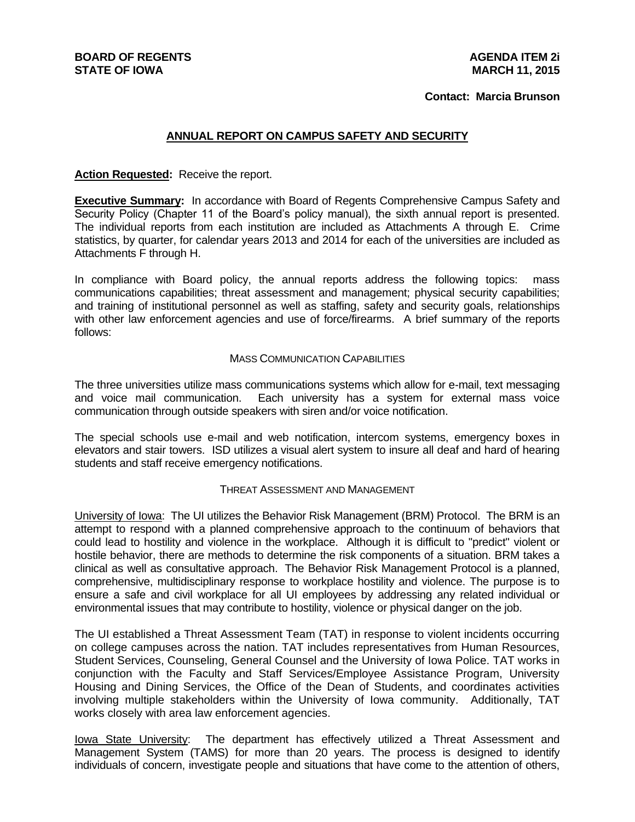**BOARD OF REGENTS STATE OF IOWA**

#### **Contact: Marcia Brunson**

#### **ANNUAL REPORT ON CAMPUS SAFETY AND SECURITY**

#### **Action Requested:** Receive the report.

**Executive Summary:** In accordance with Board of Regents Comprehensive Campus Safety and Security Policy (Chapter 11 of the Board's policy manual), the sixth annual report is presented. The individual reports from each institution are included as Attachments A through E. Crime statistics, by quarter, for calendar years 2013 and 2014 for each of the universities are included as Attachments F through H.

In compliance with Board policy, the annual reports address the following topics: mass communications capabilities; threat assessment and management; physical security capabilities; and training of institutional personnel as well as staffing, safety and security goals, relationships with other law enforcement agencies and use of force/firearms. A brief summary of the reports follows:

#### MASS COMMUNICATION CAPABILITIES

The three universities utilize mass communications systems which allow for e-mail, text messaging and voice mail communication. Each university has a system for external mass voice communication through outside speakers with siren and/or voice notification.

The special schools use e-mail and web notification, intercom systems, emergency boxes in elevators and stair towers. ISD utilizes a visual alert system to insure all deaf and hard of hearing students and staff receive emergency notifications.

#### THREAT ASSESSMENT AND MANAGEMENT

University of Iowa: The UI utilizes the Behavior Risk Management (BRM) Protocol. The BRM is an attempt to respond with a planned comprehensive approach to the continuum of behaviors that could lead to hostility and violence in the workplace. Although it is difficult to "predict" violent or hostile behavior, there are methods to determine the risk components of a situation. BRM takes a clinical as well as consultative approach. The Behavior Risk Management Protocol is a planned, comprehensive, multidisciplinary response to workplace hostility and violence. The purpose is to ensure a safe and civil workplace for all UI employees by addressing any related individual or environmental issues that may contribute to hostility, violence or physical danger on the job.

The UI established a Threat Assessment Team (TAT) in response to violent incidents occurring on college campuses across the nation. TAT includes representatives from Human Resources, Student Services, Counseling, General Counsel and the University of Iowa Police. TAT works in conjunction with the Faculty and Staff Services/Employee Assistance Program, University Housing and Dining Services, the Office of the Dean of Students, and coordinates activities involving multiple stakeholders within the University of Iowa community. Additionally, TAT works closely with area law enforcement agencies.

Iowa State University: The department has effectively utilized a Threat Assessment and Management System (TAMS) for more than 20 years. The process is designed to identify individuals of concern, investigate people and situations that have come to the attention of others,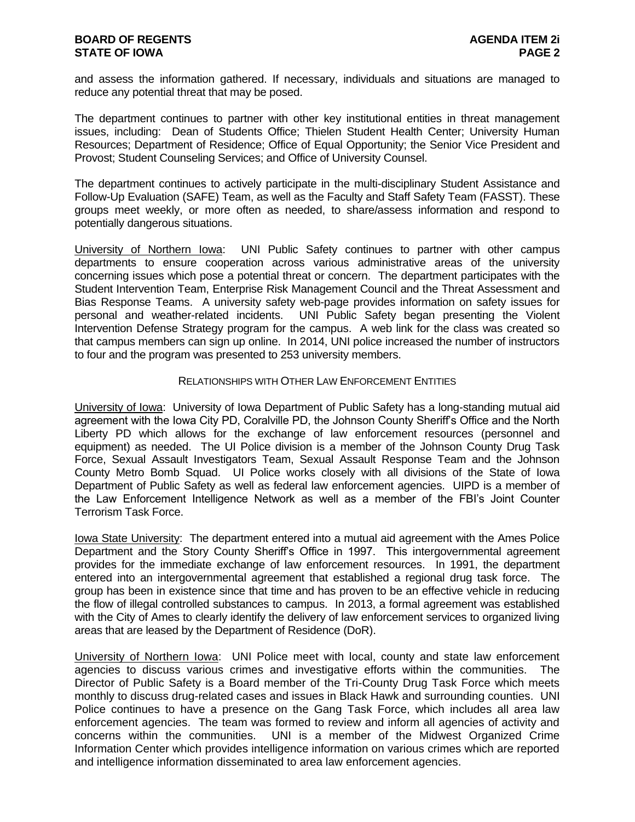and assess the information gathered. If necessary, individuals and situations are managed to reduce any potential threat that may be posed.

The department continues to partner with other key institutional entities in threat management issues, including: Dean of Students Office; Thielen Student Health Center; University Human Resources; Department of Residence; Office of Equal Opportunity; the Senior Vice President and Provost; Student Counseling Services; and Office of University Counsel.

The department continues to actively participate in the multi-disciplinary Student Assistance and Follow-Up Evaluation (SAFE) Team, as well as the Faculty and Staff Safety Team (FASST). These groups meet weekly, or more often as needed, to share/assess information and respond to potentially dangerous situations.

University of Northern Iowa: UNI Public Safety continues to partner with other campus departments to ensure cooperation across various administrative areas of the university concerning issues which pose a potential threat or concern. The department participates with the Student Intervention Team, Enterprise Risk Management Council and the Threat Assessment and Bias Response Teams. A university safety web-page provides information on safety issues for personal and weather-related incidents. UNI Public Safety began presenting the Violent Intervention Defense Strategy program for the campus. A web link for the class was created so that campus members can sign up online. In 2014, UNI police increased the number of instructors to four and the program was presented to 253 university members.

#### RELATIONSHIPS WITH OTHER LAW ENFORCEMENT ENTITIES

University of Iowa: University of Iowa Department of Public Safety has a long-standing mutual aid agreement with the Iowa City PD, Coralville PD, the Johnson County Sheriff's Office and the North Liberty PD which allows for the exchange of law enforcement resources (personnel and equipment) as needed. The UI Police division is a member of the Johnson County Drug Task Force, Sexual Assault Investigators Team, Sexual Assault Response Team and the Johnson County Metro Bomb Squad. UI Police works closely with all divisions of the State of Iowa Department of Public Safety as well as federal law enforcement agencies. UIPD is a member of the Law Enforcement Intelligence Network as well as a member of the FBI's Joint Counter Terrorism Task Force.

Iowa State University: The department entered into a mutual aid agreement with the Ames Police Department and the Story County Sheriff's Office in 1997. This intergovernmental agreement provides for the immediate exchange of law enforcement resources. In 1991, the department entered into an intergovernmental agreement that established a regional drug task force. The group has been in existence since that time and has proven to be an effective vehicle in reducing the flow of illegal controlled substances to campus. In 2013, a formal agreement was established with the City of Ames to clearly identify the delivery of law enforcement services to organized living areas that are leased by the Department of Residence (DoR).

University of Northern Iowa: UNI Police meet with local, county and state law enforcement agencies to discuss various crimes and investigative efforts within the communities. The Director of Public Safety is a Board member of the Tri-County Drug Task Force which meets monthly to discuss drug-related cases and issues in Black Hawk and surrounding counties. UNI Police continues to have a presence on the Gang Task Force, which includes all area law enforcement agencies. The team was formed to review and inform all agencies of activity and concerns within the communities. UNI is a member of the Midwest Organized Crime Information Center which provides intelligence information on various crimes which are reported and intelligence information disseminated to area law enforcement agencies.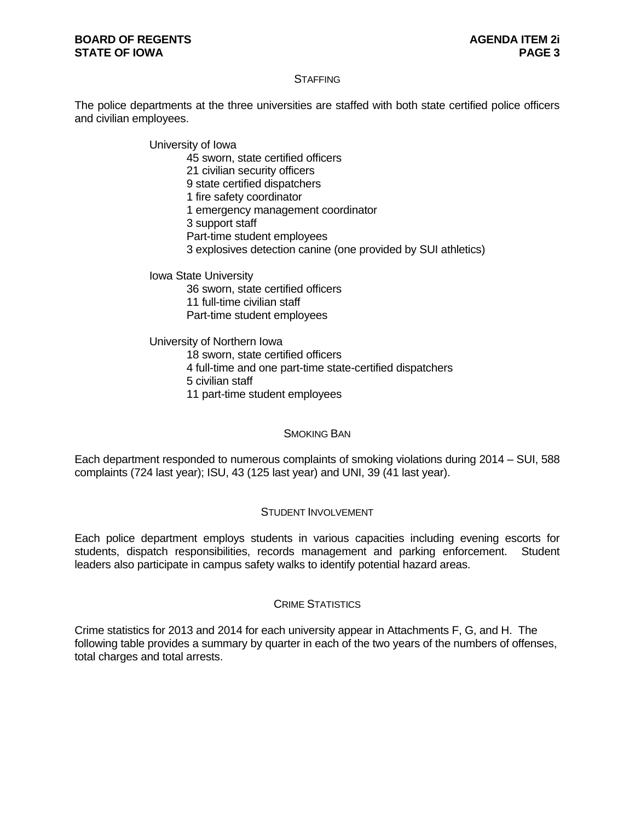#### **BOARD OF REGENTS AGENERAL ITEM 21 STATE OF IOWA PAGE 3**

#### **STAFFING**

The police departments at the three universities are staffed with both state certified police officers and civilian employees.

> University of Iowa 45 sworn, state certified officers 21 civilian security officers 9 state certified dispatchers 1 fire safety coordinator 1 emergency management coordinator 3 support staff Part-time student employees 3 explosives detection canine (one provided by SUI athletics)

Iowa State University 36 sworn, state certified officers 11 full-time civilian staff Part-time student employees

University of Northern Iowa 18 sworn, state certified officers 4 full-time and one part-time state-certified dispatchers 5 civilian staff 11 part-time student employees

#### SMOKING BAN

Each department responded to numerous complaints of smoking violations during 2014 – SUI, 588 complaints (724 last year); ISU, 43 (125 last year) and UNI, 39 (41 last year).

#### STUDENT INVOLVEMENT

Each police department employs students in various capacities including evening escorts for students, dispatch responsibilities, records management and parking enforcement. Student leaders also participate in campus safety walks to identify potential hazard areas.

#### CRIME STATISTICS

Crime statistics for 2013 and 2014 for each university appear in Attachments F, G, and H. The following table provides a summary by quarter in each of the two years of the numbers of offenses, total charges and total arrests.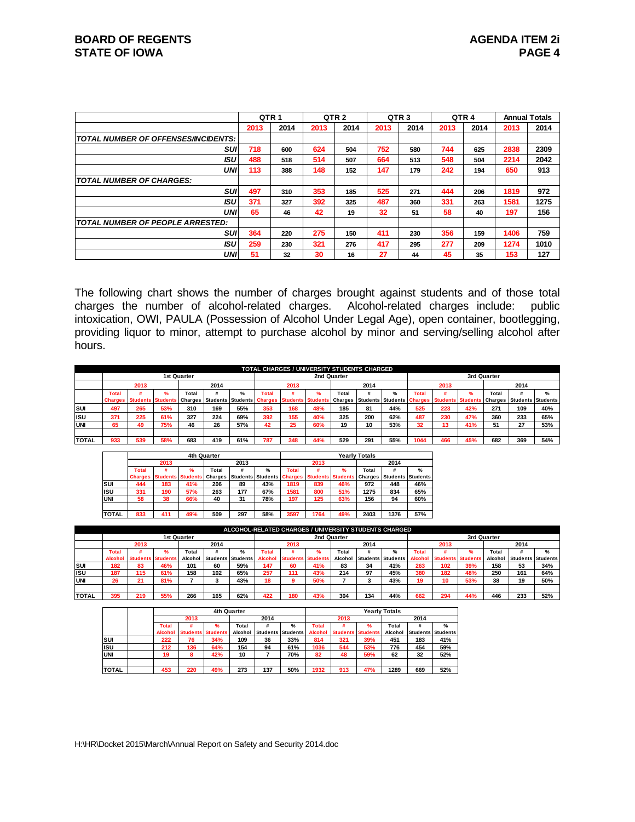|                                            | QTR <sub>1</sub> |      |      | QTR <sub>2</sub> | QTR <sub>3</sub> |      |      | QTR <sub>4</sub> | <b>Annual Totals</b> |      |
|--------------------------------------------|------------------|------|------|------------------|------------------|------|------|------------------|----------------------|------|
|                                            | 2013             | 2014 | 2013 | 2014             | 2013             | 2014 | 2013 | 2014             | 2013                 | 2014 |
| <b>TOTAL NUMBER OF OFFENSES/INCIDENTS:</b> |                  |      |      |                  |                  |      |      |                  |                      |      |
| SUI                                        | 718              | 600  | 624  | 504              | 752              | 580  | 744  | 625              | 2838                 | 2309 |
| ISU                                        | 488              | 518  | 514  | 507              | 664              | 513  | 548  | 504              | 2214                 | 2042 |
| <b>UNI</b>                                 | 113              | 388  | 148  | 152              | 147              | 179  | 242  | 194              | 650                  | 913  |
| <b>TOTAL NUMBER OF CHARGES:</b>            |                  |      |      |                  |                  |      |      |                  |                      |      |
| suı                                        | 497              | 310  | 353  | 185              | 525              | 271  | 444  | 206              | 1819                 | 972  |
| <b>ISU</b>                                 | 371              | 327  | 392  | 325              | 487              | 360  | 331  | 263              | 1581                 | 1275 |
| <b>UNI</b>                                 | 65               | 46   | 42   | 19               | 32               | 51   | 58   | 40               | 197                  | 156  |
| <b>TOTAL NUMBER OF PEOPLE ARRESTED:</b>    |                  |      |      |                  |                  |      |      |                  |                      |      |
| suı                                        | 364              | 220  | 275  | 150              | 411              | 230  | 356  | 159              | 1406                 | 759  |
| ISU                                        | 259              | 230  | 321  | 276              | 417              | 295  | 277  | 209              | 1274                 | 1010 |
| <b>UNI</b>                                 | 51               | 32   | 30   | 16               | 27               | 44   | 45   | 35               | 153                  | 127  |

The following chart shows the number of charges brought against students and of those total charges the number of alcohol-related charges. Alcohol-related charges include: public intoxication, OWI, PAULA (Possession of Alcohol Under Legal Age), open container, bootlegging, providing liquor to minor, attempt to purchase alcohol by minor and serving/selling alcohol after hours.

|              |                |      |      |             |      |                                                     |       |      | TOTAL CHARGES / UNIVERSITY STUDENTS CHARGED |       |      |                                                            |       |      |     |             |                                  |               |
|--------------|----------------|------|------|-------------|------|-----------------------------------------------------|-------|------|---------------------------------------------|-------|------|------------------------------------------------------------|-------|------|-----|-------------|----------------------------------|---------------|
|              |                |      |      | 1st Quarter |      |                                                     |       |      | 2nd Quarter                                 |       |      |                                                            |       |      |     | 3rd Quarter |                                  |               |
|              |                | 2013 |      |             | 2014 |                                                     |       | 2013 |                                             |       | 2014 |                                                            |       | 2013 |     |             | 2014                             |               |
|              | <b>Total</b>   |      | $\%$ | Total       |      | $\frac{9}{6}$                                       | Total |      |                                             | Total |      | $\frac{9}{6}$                                              | Total |      |     | Total       |                                  | $\frac{9}{6}$ |
|              | <b>Charges</b> |      |      |             |      | Students Students Charges Students Students Charges |       |      | <b>Students Students</b>                    |       |      | <b>Charges Students Students Charges Students Students</b> |       |      |     |             | <b>Charges Students Students</b> |               |
| <b>ISUI</b>  | 497            | 265  | 53%  | 310         | 169  | 55%                                                 | 353   | 168  | 48%                                         | 185   | 81   | 44%                                                        | 525   | 223  | 42% | 271         | 109                              | 40%           |
| <b>IISU</b>  | 371            | 225  | 61%  | 327         | 224  | 69%                                                 | 392   | 155  | 40%                                         | 325   | 200  | 62%                                                        | 487   | 230  | 47% | 360         | 233                              | 65%           |
| <b>UNI</b>   | 65             | 49   | 75%  | 46          | 26   | 57%                                                 | 42    | 25   | 60%                                         | 19    | 10   | 53%                                                        | 32    | 13   | 41% | 51          | 27                               | 53%           |
|              |                |      |      |             |      |                                                     |       |      |                                             |       |      |                                                            |       |      |     |             |                                  |               |
| <b>TOTAL</b> | 933            | 539  | 58%  | 683         | 419  | 61%                                                 | 787   | 348  | 44%                                         | 529   | 291  | 55%                                                        | 1044  | 466  | 45% | 682         | 369                              | 54%           |

|              |                |      |                          | 4th Quarter |                 |               |                |                          |               | <b>Yearly Totals</b> |      |                          |
|--------------|----------------|------|--------------------------|-------------|-----------------|---------------|----------------|--------------------------|---------------|----------------------|------|--------------------------|
|              |                | 2013 |                          |             | 2013            |               |                | 2013                     |               |                      | 2014 |                          |
|              | <b>Total</b>   |      | $\frac{9}{6}$            | Total       |                 | $\frac{9}{6}$ | <b>Total</b>   |                          | $\frac{9}{6}$ | Total                |      | $\frac{9}{6}$            |
|              | <b>Charges</b> |      | <b>Students Students</b> | Charges     | <b>Students</b> | Students      | <b>Charges</b> | <b>Students Students</b> |               | Charges              |      | <b>Students Students</b> |
| lsui         | 444            | 183  | 41%                      | 206         | 89              | 43%           | 1819           | 839                      | 46%           | 972                  | 448  | 46%                      |
| <b>ISU</b>   | 331            | 190  | 57%                      | 263         | 177             | 67%           | 1581           | 800                      | 51%           | 1275                 | 834  | 65%                      |
| <b>UNI</b>   | 58             | 38   | 66%                      | 40          | 31              | 78%           | 197            | 125                      | 63%           | 156                  | 94   | 60%                      |
|              |                |      |                          |             |                 |               |                |                          |               |                      |      |                          |
| <b>TOTAL</b> | 833            | 411  | 49%                      | 509         | 297             | 58%           | 3597           | 1764                     | 49%           | 2403                 | 1376 | 57%                      |

|              |                |                          |             |         |      |                   |                |                          | ALCOHOL-RELATED CHARGES / UNIVERSITY STUDENTS CHARGED |         |                          |     |                |                          |     |             |      |                          |
|--------------|----------------|--------------------------|-------------|---------|------|-------------------|----------------|--------------------------|-------------------------------------------------------|---------|--------------------------|-----|----------------|--------------------------|-----|-------------|------|--------------------------|
|              |                |                          | 1st Quarter |         |      |                   |                |                          | 2nd Quarter                                           |         |                          |     |                |                          |     | 3rd Quarter |      |                          |
|              |                | 2013                     |             |         | 2014 |                   |                | 2013                     |                                                       |         | 2014                     |     |                | 2013                     |     |             | 2014 |                          |
|              | <b>Total</b>   |                          |             | Total   |      |                   | Total          |                          |                                                       | Total   |                          | ℅   | Tota           |                          |     | Total       |      | $\frac{9}{6}$            |
|              | <b>Alcohol</b> | <b>Students Students</b> |             | Alcohol |      | Students Students | <b>Alcohol</b> | <b>Students Students</b> |                                                       | Alcohol | <b>Students Students</b> |     | <b>Alcohol</b> | <b>Students Students</b> |     | Alcohol     |      | <b>Students Students</b> |
| SUI          | 182            | 83                       | 46%         | 101     | 60   | 59%               | 147            | 60                       | 41%                                                   | 83      | 34                       | 41% | 263            | 102                      | 39% | 158         | 53   | 34%                      |
| ISU          | 187            | 115                      | 61%         | 158     | 102  | 65%               | 257            | 111                      | 43%                                                   | 214     | 97                       | 45% | 380            | 182                      | 48% | 250         | 161  | 64%                      |
| <b>UNI</b>   | 26             | 21                       | 81%         |         |      | 43%               | 18             |                          | 50%                                                   |         |                          | 43% | 19             | 10                       | 53% | 38          | 19   | 50%                      |
|              |                |                          |             |         |      |                   |                |                          |                                                       |         |                          |     |                |                          |     |             |      |                          |
| <b>TOTAL</b> | 395            | 219                      | 55%         | 266     | 165  | 62%               | 422            | 180                      | 43%                                                   | 304     | 134                      | 44% | 662            | 294                      | 44% | 446         | 233  | 52%                      |

|              |                |                          | 4th Quarter |         |      |                          |                |                          |     | <b>Yearly Totals</b> |      |                          |
|--------------|----------------|--------------------------|-------------|---------|------|--------------------------|----------------|--------------------------|-----|----------------------|------|--------------------------|
|              |                | 2013                     |             |         | 2014 |                          |                | 2013                     |     |                      | 2014 |                          |
|              | <b>Total</b>   |                          | %           | Total   | #    | %                        | Total          |                          | %   | Total                | #    | $\frac{9}{6}$            |
|              | <b>Alcohol</b> | <b>Students Students</b> |             | Alcohol |      | <b>Students Students</b> | <b>Alcohol</b> | <b>Students Students</b> |     | Alcohol              |      | <b>Students Students</b> |
| SUI          | 222            | 76                       | 34%         | 109     | 36   | 33%                      | 814            | 321                      | 39% | 451                  | 183  | 41%                      |
| <b>ISU</b>   | 212            | 136                      | 64%         | 154     | 94   | 61%                      | 1036           | 544                      | 53% | 776                  | 454  | 59%                      |
| <b>UNI</b>   | 19             | ឧ                        | 42%         | 10      |      | 70%                      | 82             | 48                       | 59% | 62                   | 32   | 52%                      |
|              |                |                          |             |         |      |                          |                |                          |     |                      |      |                          |
| <b>TOTAL</b> | 453            | 220                      | 49%         | 273     | 137  | 50%                      | 1932           | 913                      | 47% | 1289                 | 669  | 52%                      |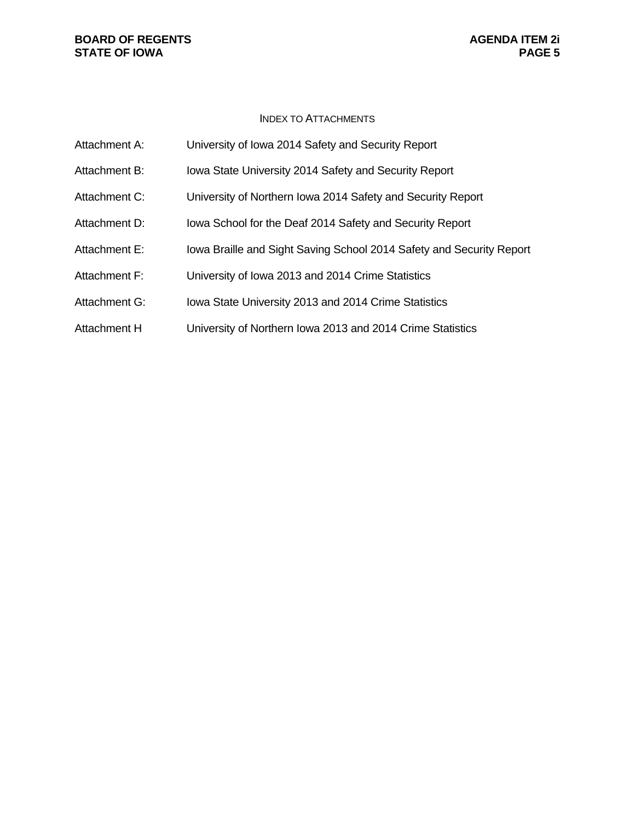#### **BOARD OF REGENTS**<br> **BOARD OF REGENTS**<br> **BOARD OF IOWA**<br> **BOARD OF IOWA STATE OF IOWA**

#### INDEX TO ATTACHMENTS

| Attachment A: | University of Iowa 2014 Safety and Security Report                   |
|---------------|----------------------------------------------------------------------|
| Attachment B: | Iowa State University 2014 Safety and Security Report                |
| Attachment C: | University of Northern Iowa 2014 Safety and Security Report          |
| Attachment D: | Iowa School for the Deaf 2014 Safety and Security Report             |
| Attachment E: | Iowa Braille and Sight Saving School 2014 Safety and Security Report |
| Attachment F: | University of Iowa 2013 and 2014 Crime Statistics                    |
| Attachment G: | Iowa State University 2013 and 2014 Crime Statistics                 |
| Attachment H  | University of Northern Iowa 2013 and 2014 Crime Statistics           |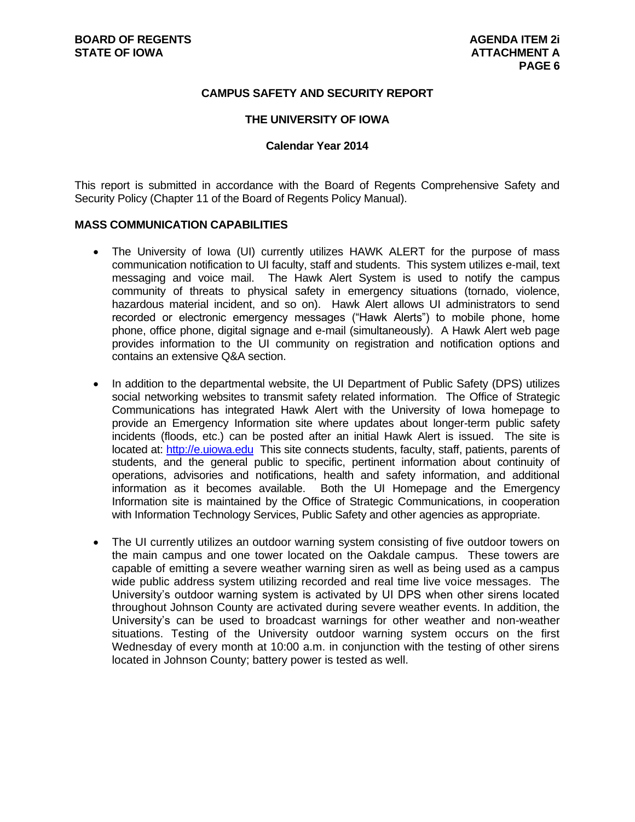#### **CAMPUS SAFETY AND SECURITY REPORT**

#### **THE UNIVERSITY OF IOWA**

#### **Calendar Year 2014**

This report is submitted in accordance with the Board of Regents Comprehensive Safety and Security Policy (Chapter 11 of the Board of Regents Policy Manual).

#### **MASS COMMUNICATION CAPABILITIES**

- The University of Iowa (UI) currently utilizes HAWK ALERT for the purpose of mass communication notification to UI faculty, staff and students. This system utilizes e-mail, text messaging and voice mail. The Hawk Alert System is used to notify the campus community of threats to physical safety in emergency situations (tornado, violence, hazardous material incident, and so on). Hawk Alert allows UI administrators to send recorded or electronic emergency messages ("Hawk Alerts") to mobile phone, home phone, office phone, digital signage and e-mail (simultaneously). A Hawk Alert web page provides information to the UI community on registration and notification options and contains an extensive Q&A section.
- In addition to the departmental website, the UI Department of Public Safety (DPS) utilizes social networking websites to transmit safety related information. The Office of Strategic Communications has integrated Hawk Alert with the University of Iowa homepage to provide an Emergency Information site where updates about longer-term public safety incidents (floods, etc.) can be posted after an initial Hawk Alert is issued. The site is located at: [http://e.uiowa.edu](http://e.uiowa.edu/) This site connects students, faculty, staff, patients, parents of students, and the general public to specific, pertinent information about continuity of operations, advisories and notifications, health and safety information, and additional information as it becomes available. Both the UI Homepage and the Emergency Information site is maintained by the Office of Strategic Communications, in cooperation with Information Technology Services, Public Safety and other agencies as appropriate.
- The UI currently utilizes an outdoor warning system consisting of five outdoor towers on the main campus and one tower located on the Oakdale campus. These towers are capable of emitting a severe weather warning siren as well as being used as a campus wide public address system utilizing recorded and real time live voice messages. The University's outdoor warning system is activated by UI DPS when other sirens located throughout Johnson County are activated during severe weather events. In addition, the University's can be used to broadcast warnings for other weather and non-weather situations. Testing of the University outdoor warning system occurs on the first Wednesday of every month at 10:00 a.m. in conjunction with the testing of other sirens located in Johnson County; battery power is tested as well.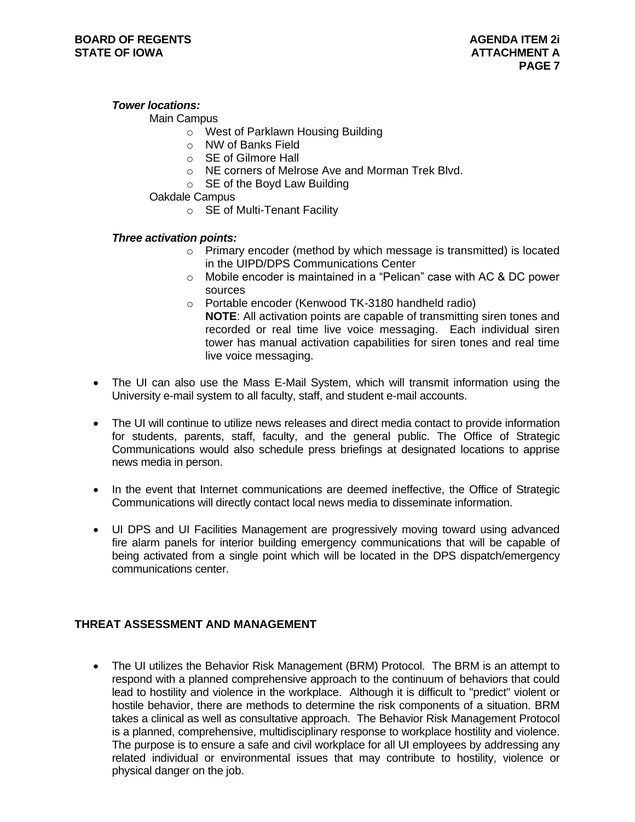#### *Tower locations:*

#### Main Campus

- o West of Parklawn Housing Building
- o NW of Banks Field
- o SE of Gilmore Hall
- o NE corners of Melrose Ave and Morman Trek Blvd.
- o SE of the Boyd Law Building

Oakdale Campus

o SE of Multi-Tenant Facility

#### *Three activation points:*

- o Primary encoder (method by which message is transmitted) is located in the UIPD/DPS Communications Center
- $\circ$  Mobile encoder is maintained in a "Pelican" case with AC & DC power sources
- o Portable encoder (Kenwood TK-3180 handheld radio) **NOTE**: All activation points are capable of transmitting siren tones and recorded or real time live voice messaging. Each individual siren tower has manual activation capabilities for siren tones and real time live voice messaging.
- The UI can also use the Mass E-Mail System, which will transmit information using the University e-mail system to all faculty, staff, and student e-mail accounts.
- The UI will continue to utilize news releases and direct media contact to provide information for students, parents, staff, faculty, and the general public. The Office of Strategic Communications would also schedule press briefings at designated locations to apprise news media in person.
- In the event that Internet communications are deemed ineffective, the Office of Strategic Communications will directly contact local news media to disseminate information.
- UI DPS and UI Facilities Management are progressively moving toward using advanced fire alarm panels for interior building emergency communications that will be capable of being activated from a single point which will be located in the DPS dispatch/emergency communications center.

#### **THREAT ASSESSMENT AND MANAGEMENT**

 The UI utilizes the Behavior Risk Management (BRM) Protocol. The BRM is an attempt to respond with a planned comprehensive approach to the continuum of behaviors that could lead to hostility and violence in the workplace. Although it is difficult to "predict" violent or hostile behavior, there are methods to determine the risk components of a situation. BRM takes a clinical as well as consultative approach. The Behavior Risk Management Protocol is a planned, comprehensive, multidisciplinary response to workplace hostility and violence. The purpose is to ensure a safe and civil workplace for all UI employees by addressing any related individual or environmental issues that may contribute to hostility, violence or physical danger on the job.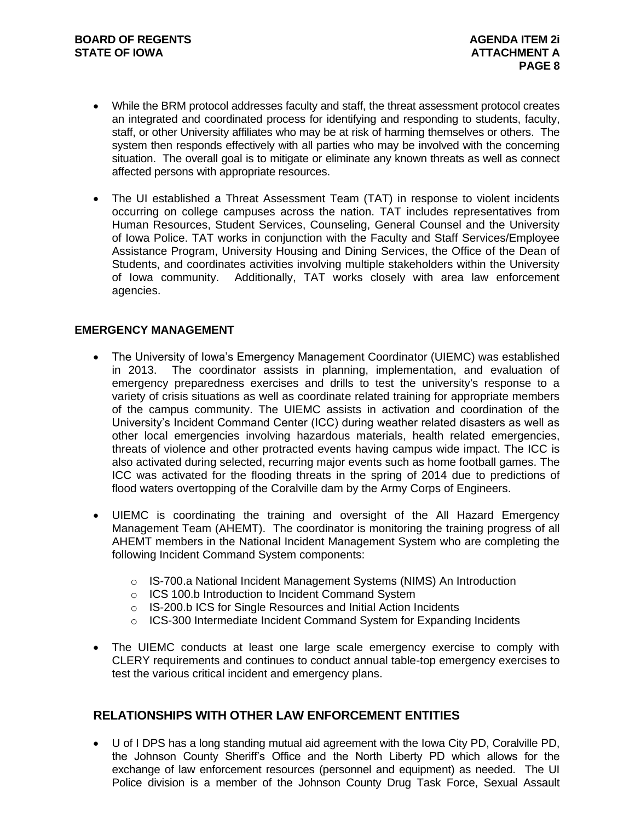- While the BRM protocol addresses faculty and staff, the threat assessment protocol creates an integrated and coordinated process for identifying and responding to students, faculty, staff, or other University affiliates who may be at risk of harming themselves or others. The system then responds effectively with all parties who may be involved with the concerning situation. The overall goal is to mitigate or eliminate any known threats as well as connect affected persons with appropriate resources.
- The UI established a Threat Assessment Team (TAT) in response to violent incidents occurring on college campuses across the nation. TAT includes representatives from Human Resources, Student Services, Counseling, General Counsel and the University of Iowa Police. TAT works in conjunction with the Faculty and Staff Services/Employee Assistance Program, University Housing and Dining Services, the Office of the Dean of Students, and coordinates activities involving multiple stakeholders within the University of Iowa community. Additionally, TAT works closely with area law enforcement agencies.

#### **EMERGENCY MANAGEMENT**

- The University of Iowa's Emergency Management Coordinator (UIEMC) was established in 2013. The coordinator assists in planning, implementation, and evaluation of emergency preparedness exercises and drills to test the university's response to a variety of crisis situations as well as coordinate related training for appropriate members of the campus community. The UIEMC assists in activation and coordination of the University's Incident Command Center (ICC) during weather related disasters as well as other local emergencies involving hazardous materials, health related emergencies, threats of violence and other protracted events having campus wide impact. The ICC is also activated during selected, recurring major events such as home football games. The ICC was activated for the flooding threats in the spring of 2014 due to predictions of flood waters overtopping of the Coralville dam by the Army Corps of Engineers.
- UIEMC is coordinating the training and oversight of the All Hazard Emergency Management Team (AHEMT). The coordinator is monitoring the training progress of all AHEMT members in the National Incident Management System who are completing the following Incident Command System components:
	- o IS-700.a National Incident Management Systems (NIMS) An Introduction
	- o ICS 100.b Introduction to Incident Command System
	- o IS-200.b ICS for Single Resources and Initial Action Incidents
	- $\circ$  ICS-300 Intermediate Incident Command System for Expanding Incidents
- The UIEMC conducts at least one large scale emergency exercise to comply with CLERY requirements and continues to conduct annual table-top emergency exercises to test the various critical incident and emergency plans.

#### **RELATIONSHIPS WITH OTHER LAW ENFORCEMENT ENTITIES**

 U of I DPS has a long standing mutual aid agreement with the Iowa City PD, Coralville PD, the Johnson County Sheriff's Office and the North Liberty PD which allows for the exchange of law enforcement resources (personnel and equipment) as needed. The UI Police division is a member of the Johnson County Drug Task Force, Sexual Assault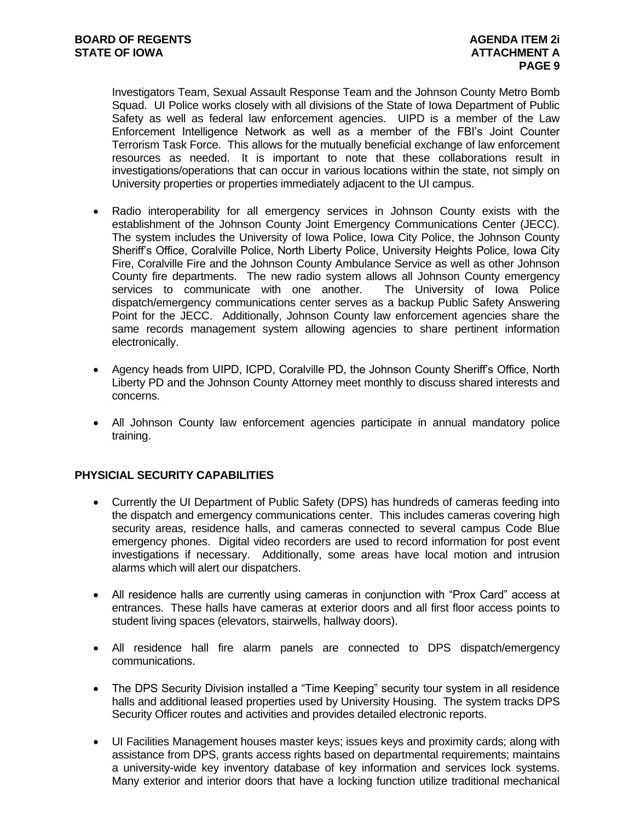Investigators Team, Sexual Assault Response Team and the Johnson County Metro Bomb Squad. UI Police works closely with all divisions of the State of Iowa Department of Public Safety as well as federal law enforcement agencies. UIPD is a member of the Law Enforcement Intelligence Network as well as a member of the FBI's Joint Counter Terrorism Task Force. This allows for the mutually beneficial exchange of law enforcement resources as needed. It is important to note that these collaborations result in investigations/operations that can occur in various locations within the state, not simply on University properties or properties immediately adjacent to the UI campus.

- Radio interoperability for all emergency services in Johnson County exists with the establishment of the Johnson County Joint Emergency Communications Center (JECC). The system includes the University of Iowa Police, Iowa City Police, the Johnson County Sheriff's Office, Coralville Police, North Liberty Police, University Heights Police, Iowa City Fire, Coralville Fire and the Johnson County Ambulance Service as well as other Johnson County fire departments. The new radio system allows all Johnson County emergency services to communicate with one another. The University of Iowa Police dispatch/emergency communications center serves as a backup Public Safety Answering Point for the JECC. Additionally, Johnson County law enforcement agencies share the same records management system allowing agencies to share pertinent information electronically.
- Agency heads from UIPD, ICPD, Coralville PD, the Johnson County Sheriff's Office, North Liberty PD and the Johnson County Attorney meet monthly to discuss shared interests and concerns.
- All Johnson County law enforcement agencies participate in annual mandatory police training.

#### **PHYSICIAL SECURITY CAPABILITIES**

- Currently the UI Department of Public Safety (DPS) has hundreds of cameras feeding into the dispatch and emergency communications center. This includes cameras covering high security areas, residence halls, and cameras connected to several campus Code Blue emergency phones. Digital video recorders are used to record information for post event investigations if necessary. Additionally, some areas have local motion and intrusion alarms which will alert our dispatchers.
- All residence halls are currently using cameras in conjunction with "Prox Card" access at entrances. These halls have cameras at exterior doors and all first floor access points to student living spaces (elevators, stairwells, hallway doors).
- All residence hall fire alarm panels are connected to DPS dispatch/emergency communications.
- The DPS Security Division installed a "Time Keeping" security tour system in all residence halls and additional leased properties used by University Housing. The system tracks DPS Security Officer routes and activities and provides detailed electronic reports.
- UI Facilities Management houses master keys; issues keys and proximity cards; along with assistance from DPS, grants access rights based on departmental requirements; maintains a university-wide key inventory database of key information and services lock systems. Many exterior and interior doors that have a locking function utilize traditional mechanical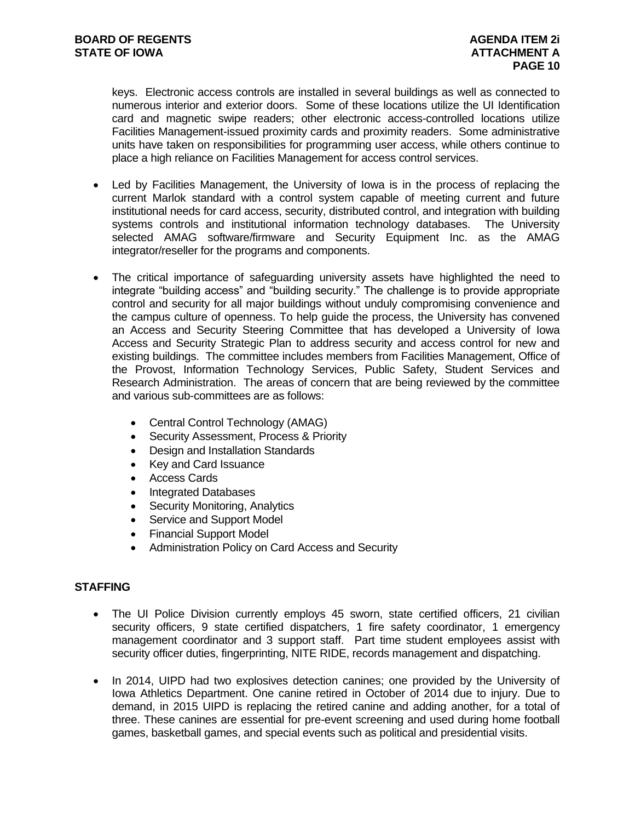keys. Electronic access controls are installed in several buildings as well as connected to numerous interior and exterior doors. Some of these locations utilize the UI Identification card and magnetic swipe readers; other electronic access-controlled locations utilize Facilities Management-issued proximity cards and proximity readers. Some administrative units have taken on responsibilities for programming user access, while others continue to place a high reliance on Facilities Management for access control services.

- Led by Facilities Management, the University of Iowa is in the process of replacing the current Marlok standard with a control system capable of meeting current and future institutional needs for card access, security, distributed control, and integration with building systems controls and institutional information technology databases. The University selected AMAG software/firmware and Security Equipment Inc. as the AMAG integrator/reseller for the programs and components.
- The critical importance of safeguarding university assets have highlighted the need to integrate "building access" and "building security." The challenge is to provide appropriate control and security for all major buildings without unduly compromising convenience and the campus culture of openness. To help guide the process, the University has convened an Access and Security Steering Committee that has developed a University of Iowa Access and Security Strategic Plan to address security and access control for new and existing buildings. The committee includes members from Facilities Management, Office of the Provost, Information Technology Services, Public Safety, Student Services and Research Administration. The areas of concern that are being reviewed by the committee and various sub-committees are as follows:
	- Central Control Technology (AMAG)
	- Security Assessment, Process & Priority
	- Design and Installation Standards
	- Key and Card Issuance
	- Access Cards
	- Integrated Databases
	- Security Monitoring, Analytics
	- Service and Support Model
	- Financial Support Model
	- Administration Policy on Card Access and Security

#### **STAFFING**

- The UI Police Division currently employs 45 sworn, state certified officers, 21 civilian security officers, 9 state certified dispatchers, 1 fire safety coordinator, 1 emergency management coordinator and 3 support staff. Part time student employees assist with security officer duties, fingerprinting, NITE RIDE, records management and dispatching.
- In 2014, UIPD had two explosives detection canines; one provided by the University of Iowa Athletics Department. One canine retired in October of 2014 due to injury. Due to demand, in 2015 UIPD is replacing the retired canine and adding another, for a total of three. These canines are essential for pre-event screening and used during home football games, basketball games, and special events such as political and presidential visits.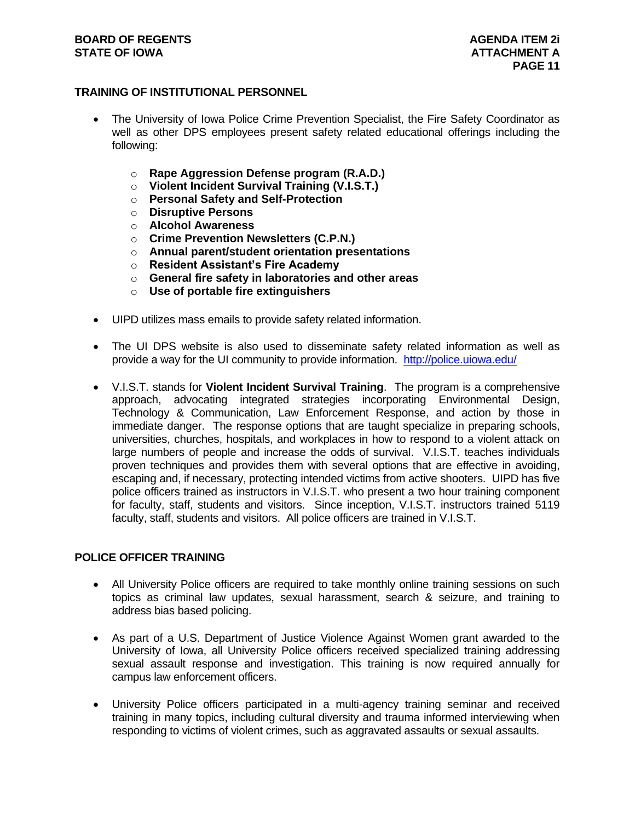#### **TRAINING OF INSTITUTIONAL PERSONNEL**

- The University of Iowa Police Crime Prevention Specialist, the Fire Safety Coordinator as well as other DPS employees present safety related educational offerings including the following:
	- o **Rape Aggression Defense program (R.A.D.)**
	- o **Violent Incident Survival Training (V.I.S.T.)**
	- o **Personal Safety and Self-Protection**
	- o **Disruptive Persons**
	- o **Alcohol Awareness**
	- o **Crime Prevention Newsletters (C.P.N.)**
	- o **Annual parent/student orientation presentations**
	- o **Resident Assistant's Fire Academy**
	- o **General fire safety in laboratories and other areas**
	- o **Use of portable fire extinguishers**
- UIPD utilizes mass emails to provide safety related information.
- The UI DPS website is also used to disseminate safety related information as well as provide a way for the UI community to provide information. <http://police.uiowa.edu/>
- V.I.S.T. stands for **Violent Incident Survival Training**. The program is a comprehensive approach, advocating integrated strategies incorporating Environmental Design, Technology & Communication, Law Enforcement Response, and action by those in immediate danger. The response options that are taught specialize in preparing schools, universities, churches, hospitals, and workplaces in how to respond to a violent attack on large numbers of people and increase the odds of survival. V.I.S.T. teaches individuals proven techniques and provides them with several options that are effective in avoiding, escaping and, if necessary, protecting intended victims from active shooters. UIPD has five police officers trained as instructors in V.I.S.T. who present a two hour training component for faculty, staff, students and visitors. Since inception, V.I.S.T. instructors trained 5119 faculty, staff, students and visitors. All police officers are trained in V.I.S.T.

#### **POLICE OFFICER TRAINING**

- All University Police officers are required to take monthly online training sessions on such topics as criminal law updates, sexual harassment, search & seizure, and training to address bias based policing.
- As part of a U.S. Department of Justice Violence Against Women grant awarded to the University of Iowa, all University Police officers received specialized training addressing sexual assault response and investigation. This training is now required annually for campus law enforcement officers.
- University Police officers participated in a multi-agency training seminar and received training in many topics, including cultural diversity and trauma informed interviewing when responding to victims of violent crimes, such as aggravated assaults or sexual assaults.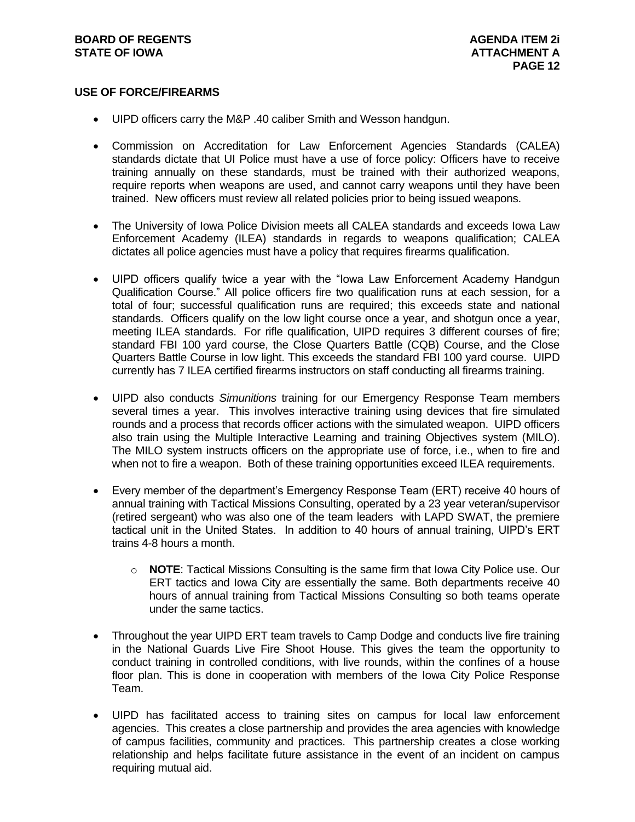#### **USE OF FORCE/FIREARMS**

- UIPD officers carry the M&P .40 caliber Smith and Wesson handgun.
- Commission on Accreditation for Law Enforcement Agencies Standards (CALEA) standards dictate that UI Police must have a use of force policy: Officers have to receive training annually on these standards, must be trained with their authorized weapons, require reports when weapons are used, and cannot carry weapons until they have been trained. New officers must review all related policies prior to being issued weapons.
- The University of Iowa Police Division meets all CALEA standards and exceeds Iowa Law Enforcement Academy (ILEA) standards in regards to weapons qualification; CALEA dictates all police agencies must have a policy that requires firearms qualification.
- UIPD officers qualify twice a year with the "Iowa Law Enforcement Academy Handgun Qualification Course." All police officers fire two qualification runs at each session, for a total of four; successful qualification runs are required; this exceeds state and national standards. Officers qualify on the low light course once a year, and shotgun once a year, meeting ILEA standards. For rifle qualification, UIPD requires 3 different courses of fire; standard FBI 100 yard course, the Close Quarters Battle (CQB) Course, and the Close Quarters Battle Course in low light. This exceeds the standard FBI 100 yard course. UIPD currently has 7 ILEA certified firearms instructors on staff conducting all firearms training.
- UIPD also conducts *Simunitions* training for our Emergency Response Team members several times a year. This involves interactive training using devices that fire simulated rounds and a process that records officer actions with the simulated weapon. UIPD officers also train using the Multiple Interactive Learning and training Objectives system (MILO). The MILO system instructs officers on the appropriate use of force, i.e., when to fire and when not to fire a weapon. Both of these training opportunities exceed ILEA requirements.
- Every member of the department's Emergency Response Team (ERT) receive 40 hours of annual training with Tactical Missions Consulting, operated by a 23 year veteran/supervisor (retired sergeant) who was also one of the team leaders with LAPD SWAT, the premiere tactical unit in the United States. In addition to 40 hours of annual training, UIPD's ERT trains 4-8 hours a month.
	- o **NOTE**: Tactical Missions Consulting is the same firm that Iowa City Police use. Our ERT tactics and Iowa City are essentially the same. Both departments receive 40 hours of annual training from Tactical Missions Consulting so both teams operate under the same tactics.
- Throughout the year UIPD ERT team travels to Camp Dodge and conducts live fire training in the National Guards Live Fire Shoot House. This gives the team the opportunity to conduct training in controlled conditions, with live rounds, within the confines of a house floor plan. This is done in cooperation with members of the Iowa City Police Response Team.
- UIPD has facilitated access to training sites on campus for local law enforcement agencies. This creates a close partnership and provides the area agencies with knowledge of campus facilities, community and practices. This partnership creates a close working relationship and helps facilitate future assistance in the event of an incident on campus requiring mutual aid.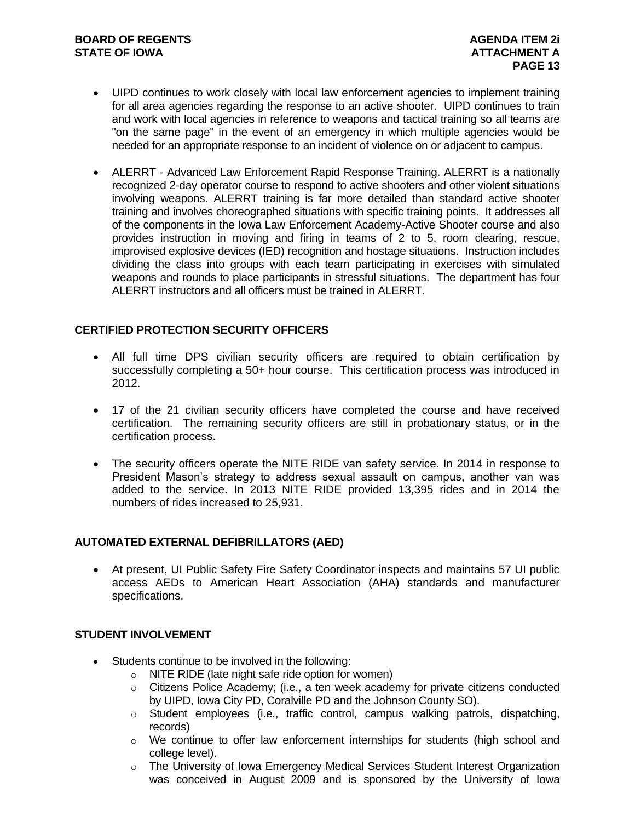- UIPD continues to work closely with local law enforcement agencies to implement training for all area agencies regarding the response to an active shooter. UIPD continues to train and work with local agencies in reference to weapons and tactical training so all teams are "on the same page" in the event of an emergency in which multiple agencies would be needed for an appropriate response to an incident of violence on or adjacent to campus.
- ALERRT Advanced Law Enforcement Rapid Response Training. ALERRT is a nationally recognized 2-day operator course to respond to active shooters and other violent situations involving weapons. ALERRT training is far more detailed than standard active shooter training and involves choreographed situations with specific training points. It addresses all of the components in the Iowa Law Enforcement Academy-Active Shooter course and also provides instruction in moving and firing in teams of 2 to 5, room clearing, rescue, improvised explosive devices (IED) recognition and hostage situations. Instruction includes dividing the class into groups with each team participating in exercises with simulated weapons and rounds to place participants in stressful situations. The department has four ALERRT instructors and all officers must be trained in ALERRT.

#### **CERTIFIED PROTECTION SECURITY OFFICERS**

- All full time DPS civilian security officers are required to obtain certification by successfully completing a 50+ hour course. This certification process was introduced in 2012.
- 17 of the 21 civilian security officers have completed the course and have received certification. The remaining security officers are still in probationary status, or in the certification process.
- The security officers operate the NITE RIDE van safety service. In 2014 in response to President Mason's strategy to address sexual assault on campus, another van was added to the service. In 2013 NITE RIDE provided 13,395 rides and in 2014 the numbers of rides increased to 25,931.

#### **AUTOMATED EXTERNAL DEFIBRILLATORS (AED)**

 At present, UI Public Safety Fire Safety Coordinator inspects and maintains 57 UI public access AEDs to American Heart Association (AHA) standards and manufacturer specifications.

#### **STUDENT INVOLVEMENT**

- Students continue to be involved in the following:
	- o NITE RIDE (late night safe ride option for women)
	- o Citizens Police Academy; (i.e., a ten week academy for private citizens conducted by UIPD, Iowa City PD, Coralville PD and the Johnson County SO).
	- o Student employees (i.e., traffic control, campus walking patrols, dispatching, records)
	- $\circ$  We continue to offer law enforcement internships for students (high school and college level).
	- o The University of Iowa Emergency Medical Services Student Interest Organization was conceived in August 2009 and is sponsored by the University of Iowa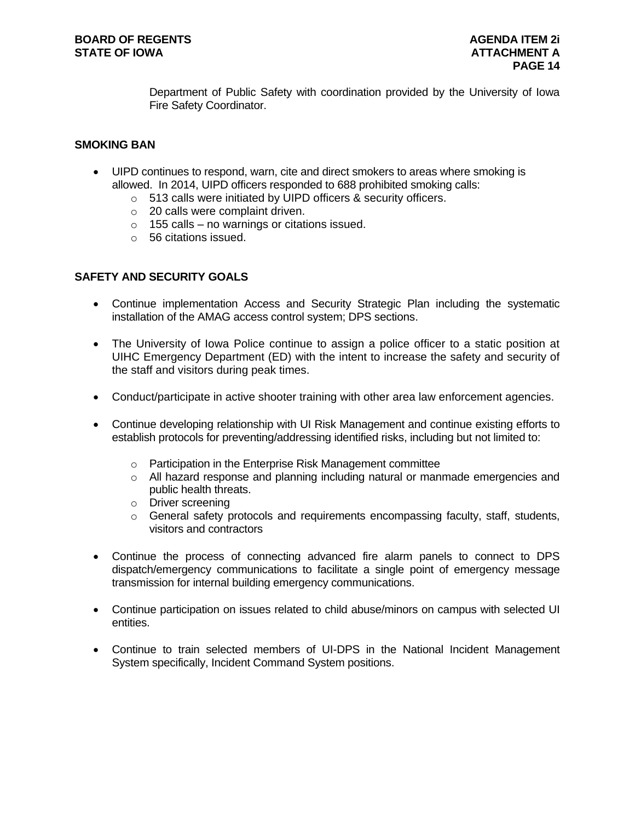Department of Public Safety with coordination provided by the University of Iowa Fire Safety Coordinator.

#### **SMOKING BAN**

- UIPD continues to respond, warn, cite and direct smokers to areas where smoking is allowed. In 2014, UIPD officers responded to 688 prohibited smoking calls:
	- o 513 calls were initiated by UIPD officers & security officers.
	- o 20 calls were complaint driven.
	- $\circ$  155 calls no warnings or citations issued.
	- o 56 citations issued.

#### **SAFETY AND SECURITY GOALS**

- Continue implementation Access and Security Strategic Plan including the systematic installation of the AMAG access control system; DPS sections.
- The University of Iowa Police continue to assign a police officer to a static position at UIHC Emergency Department (ED) with the intent to increase the safety and security of the staff and visitors during peak times.
- Conduct/participate in active shooter training with other area law enforcement agencies.
- Continue developing relationship with UI Risk Management and continue existing efforts to establish protocols for preventing/addressing identified risks, including but not limited to:
	- o Participation in the Enterprise Risk Management committee
	- $\circ$  All hazard response and planning including natural or manmade emergencies and public health threats.
	- o Driver screening
	- $\circ$  General safety protocols and requirements encompassing faculty, staff, students, visitors and contractors
- Continue the process of connecting advanced fire alarm panels to connect to DPS dispatch/emergency communications to facilitate a single point of emergency message transmission for internal building emergency communications.
- Continue participation on issues related to child abuse/minors on campus with selected UI entities.
- Continue to train selected members of UI-DPS in the National Incident Management System specifically, Incident Command System positions.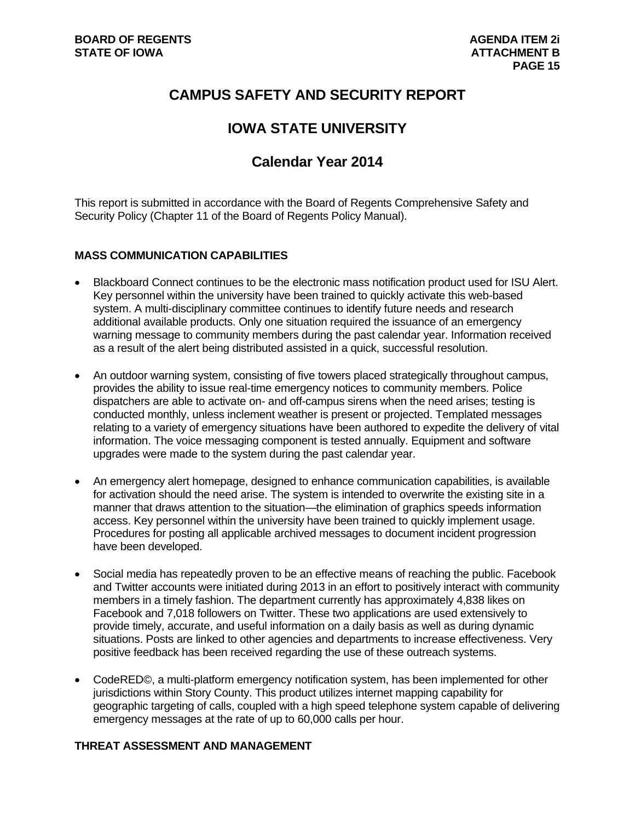# **CAMPUS SAFETY AND SECURITY REPORT**

# **IOWA STATE UNIVERSITY**

# **Calendar Year 2014**

This report is submitted in accordance with the Board of Regents Comprehensive Safety and Security Policy (Chapter 11 of the Board of Regents Policy Manual).

#### **MASS COMMUNICATION CAPABILITIES**

- Blackboard Connect continues to be the electronic mass notification product used for ISU Alert. Key personnel within the university have been trained to quickly activate this web-based system. A multi-disciplinary committee continues to identify future needs and research additional available products. Only one situation required the issuance of an emergency warning message to community members during the past calendar year. Information received as a result of the alert being distributed assisted in a quick, successful resolution.
- An outdoor warning system, consisting of five towers placed strategically throughout campus, provides the ability to issue real-time emergency notices to community members. Police dispatchers are able to activate on- and off-campus sirens when the need arises; testing is conducted monthly, unless inclement weather is present or projected. Templated messages relating to a variety of emergency situations have been authored to expedite the delivery of vital information. The voice messaging component is tested annually. Equipment and software upgrades were made to the system during the past calendar year.
- An emergency alert homepage, designed to enhance communication capabilities, is available for activation should the need arise. The system is intended to overwrite the existing site in a manner that draws attention to the situation—the elimination of graphics speeds information access. Key personnel within the university have been trained to quickly implement usage. Procedures for posting all applicable archived messages to document incident progression have been developed.
- Social media has repeatedly proven to be an effective means of reaching the public. Facebook and Twitter accounts were initiated during 2013 in an effort to positively interact with community members in a timely fashion. The department currently has approximately 4,838 likes on Facebook and 7,018 followers on Twitter. These two applications are used extensively to provide timely, accurate, and useful information on a daily basis as well as during dynamic situations. Posts are linked to other agencies and departments to increase effectiveness. Very positive feedback has been received regarding the use of these outreach systems.
- CodeRED©, a multi-platform emergency notification system, has been implemented for other jurisdictions within Story County. This product utilizes internet mapping capability for geographic targeting of calls, coupled with a high speed telephone system capable of delivering emergency messages at the rate of up to 60,000 calls per hour.

#### **THREAT ASSESSMENT AND MANAGEMENT**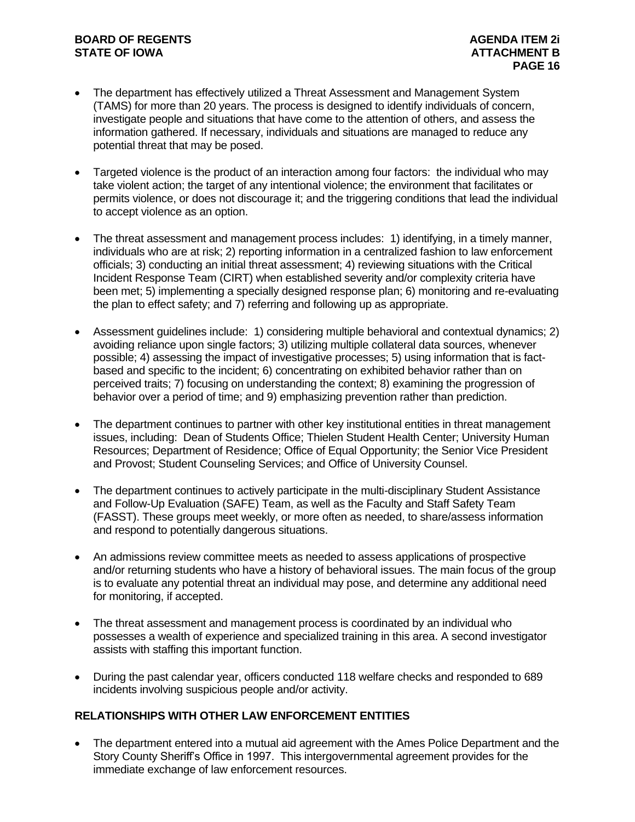- The department has effectively utilized a Threat Assessment and Management System (TAMS) for more than 20 years. The process is designed to identify individuals of concern, investigate people and situations that have come to the attention of others, and assess the information gathered. If necessary, individuals and situations are managed to reduce any potential threat that may be posed.
- Targeted violence is the product of an interaction among four factors: the individual who may take violent action; the target of any intentional violence; the environment that facilitates or permits violence, or does not discourage it; and the triggering conditions that lead the individual to accept violence as an option.
- The threat assessment and management process includes: 1) identifying, in a timely manner, individuals who are at risk; 2) reporting information in a centralized fashion to law enforcement officials; 3) conducting an initial threat assessment; 4) reviewing situations with the Critical Incident Response Team (CIRT) when established severity and/or complexity criteria have been met; 5) implementing a specially designed response plan; 6) monitoring and re-evaluating the plan to effect safety; and 7) referring and following up as appropriate.
- Assessment guidelines include: 1) considering multiple behavioral and contextual dynamics; 2) avoiding reliance upon single factors; 3) utilizing multiple collateral data sources, whenever possible; 4) assessing the impact of investigative processes; 5) using information that is factbased and specific to the incident; 6) concentrating on exhibited behavior rather than on perceived traits; 7) focusing on understanding the context; 8) examining the progression of behavior over a period of time; and 9) emphasizing prevention rather than prediction.
- The department continues to partner with other key institutional entities in threat management issues, including: Dean of Students Office; Thielen Student Health Center; University Human Resources; Department of Residence; Office of Equal Opportunity; the Senior Vice President and Provost; Student Counseling Services; and Office of University Counsel.
- The department continues to actively participate in the multi-disciplinary Student Assistance and Follow-Up Evaluation (SAFE) Team, as well as the Faculty and Staff Safety Team (FASST). These groups meet weekly, or more often as needed, to share/assess information and respond to potentially dangerous situations.
- An admissions review committee meets as needed to assess applications of prospective and/or returning students who have a history of behavioral issues. The main focus of the group is to evaluate any potential threat an individual may pose, and determine any additional need for monitoring, if accepted.
- The threat assessment and management process is coordinated by an individual who possesses a wealth of experience and specialized training in this area. A second investigator assists with staffing this important function.
- During the past calendar year, officers conducted 118 welfare checks and responded to 689 incidents involving suspicious people and/or activity.

#### **RELATIONSHIPS WITH OTHER LAW ENFORCEMENT ENTITIES**

 The department entered into a mutual aid agreement with the Ames Police Department and the Story County Sheriff's Office in 1997. This intergovernmental agreement provides for the immediate exchange of law enforcement resources.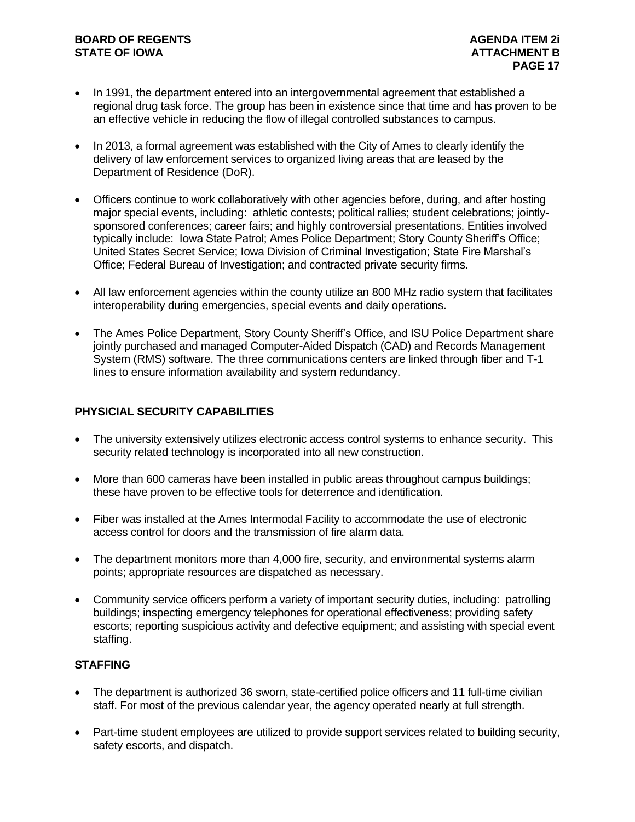- In 1991, the department entered into an intergovernmental agreement that established a regional drug task force. The group has been in existence since that time and has proven to be an effective vehicle in reducing the flow of illegal controlled substances to campus.
- In 2013, a formal agreement was established with the City of Ames to clearly identify the delivery of law enforcement services to organized living areas that are leased by the Department of Residence (DoR).
- Officers continue to work collaboratively with other agencies before, during, and after hosting major special events, including: athletic contests; political rallies; student celebrations; jointlysponsored conferences; career fairs; and highly controversial presentations. Entities involved typically include: Iowa State Patrol; Ames Police Department; Story County Sheriff's Office; United States Secret Service; Iowa Division of Criminal Investigation; State Fire Marshal's Office; Federal Bureau of Investigation; and contracted private security firms.
- All law enforcement agencies within the county utilize an 800 MHz radio system that facilitates interoperability during emergencies, special events and daily operations.
- The Ames Police Department, Story County Sheriff's Office, and ISU Police Department share jointly purchased and managed Computer-Aided Dispatch (CAD) and Records Management System (RMS) software. The three communications centers are linked through fiber and T-1 lines to ensure information availability and system redundancy.

### **PHYSICIAL SECURITY CAPABILITIES**

- The university extensively utilizes electronic access control systems to enhance security. This security related technology is incorporated into all new construction.
- More than 600 cameras have been installed in public areas throughout campus buildings; these have proven to be effective tools for deterrence and identification.
- Fiber was installed at the Ames Intermodal Facility to accommodate the use of electronic access control for doors and the transmission of fire alarm data.
- The department monitors more than 4,000 fire, security, and environmental systems alarm points; appropriate resources are dispatched as necessary.
- Community service officers perform a variety of important security duties, including: patrolling buildings; inspecting emergency telephones for operational effectiveness; providing safety escorts; reporting suspicious activity and defective equipment; and assisting with special event staffing.

#### **STAFFING**

- The department is authorized 36 sworn, state-certified police officers and 11 full-time civilian staff. For most of the previous calendar year, the agency operated nearly at full strength.
- Part-time student employees are utilized to provide support services related to building security, safety escorts, and dispatch.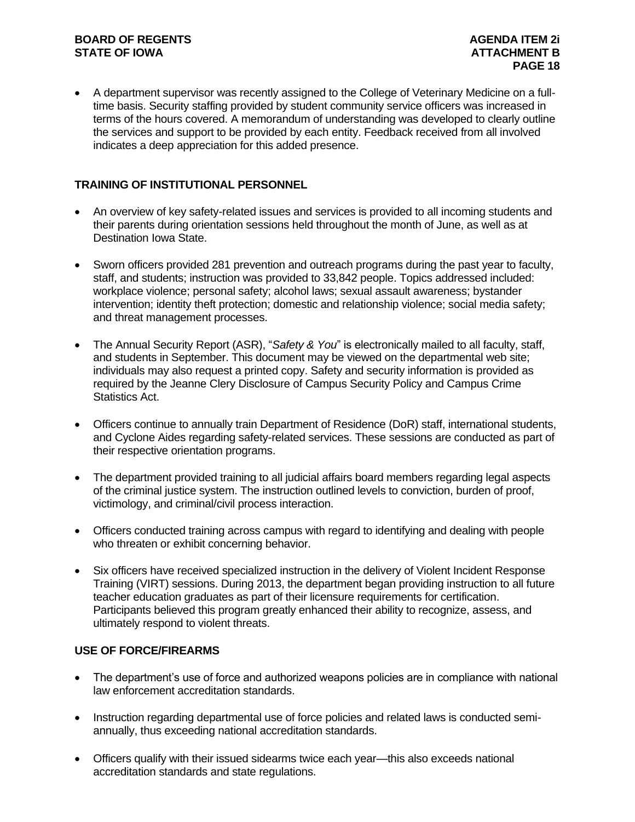A department supervisor was recently assigned to the College of Veterinary Medicine on a fulltime basis. Security staffing provided by student community service officers was increased in terms of the hours covered. A memorandum of understanding was developed to clearly outline the services and support to be provided by each entity. Feedback received from all involved indicates a deep appreciation for this added presence.

#### **TRAINING OF INSTITUTIONAL PERSONNEL**

- An overview of key safety-related issues and services is provided to all incoming students and their parents during orientation sessions held throughout the month of June, as well as at Destination Iowa State.
- Sworn officers provided 281 prevention and outreach programs during the past year to faculty, staff, and students; instruction was provided to 33,842 people. Topics addressed included: workplace violence; personal safety; alcohol laws; sexual assault awareness; bystander intervention; identity theft protection; domestic and relationship violence; social media safety; and threat management processes.
- The Annual Security Report (ASR), "*Safety & You*" is electronically mailed to all faculty, staff, and students in September. This document may be viewed on the departmental web site; individuals may also request a printed copy. Safety and security information is provided as required by the Jeanne Clery Disclosure of Campus Security Policy and Campus Crime Statistics Act.
- Officers continue to annually train Department of Residence (DoR) staff, international students, and Cyclone Aides regarding safety-related services. These sessions are conducted as part of their respective orientation programs.
- The department provided training to all judicial affairs board members regarding legal aspects of the criminal justice system. The instruction outlined levels to conviction, burden of proof, victimology, and criminal/civil process interaction.
- Officers conducted training across campus with regard to identifying and dealing with people who threaten or exhibit concerning behavior.
- Six officers have received specialized instruction in the delivery of Violent Incident Response Training (VIRT) sessions. During 2013, the department began providing instruction to all future teacher education graduates as part of their licensure requirements for certification. Participants believed this program greatly enhanced their ability to recognize, assess, and ultimately respond to violent threats.

#### **USE OF FORCE/FIREARMS**

- The department's use of force and authorized weapons policies are in compliance with national law enforcement accreditation standards.
- Instruction regarding departmental use of force policies and related laws is conducted semiannually, thus exceeding national accreditation standards.
- Officers qualify with their issued sidearms twice each year—this also exceeds national accreditation standards and state regulations.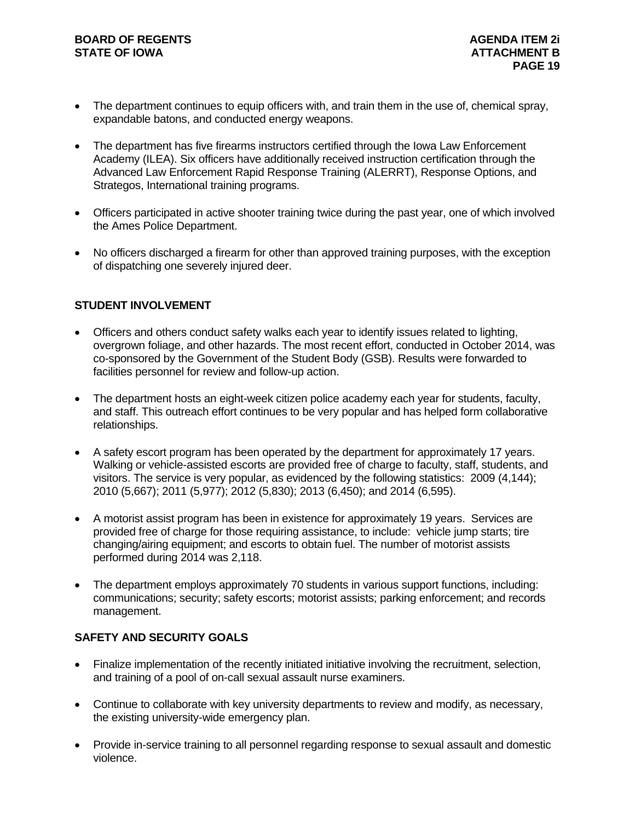- The department continues to equip officers with, and train them in the use of, chemical spray, expandable batons, and conducted energy weapons.
- The department has five firearms instructors certified through the Iowa Law Enforcement Academy (ILEA). Six officers have additionally received instruction certification through the Advanced Law Enforcement Rapid Response Training (ALERRT), Response Options, and Strategos, International training programs.
- Officers participated in active shooter training twice during the past year, one of which involved the Ames Police Department.
- No officers discharged a firearm for other than approved training purposes, with the exception of dispatching one severely injured deer.

#### **STUDENT INVOLVEMENT**

- Officers and others conduct safety walks each year to identify issues related to lighting, overgrown foliage, and other hazards. The most recent effort, conducted in October 2014, was co-sponsored by the Government of the Student Body (GSB). Results were forwarded to facilities personnel for review and follow-up action.
- The department hosts an eight-week citizen police academy each year for students, faculty, and staff. This outreach effort continues to be very popular and has helped form collaborative relationships.
- A safety escort program has been operated by the department for approximately 17 years. Walking or vehicle-assisted escorts are provided free of charge to faculty, staff, students, and visitors. The service is very popular, as evidenced by the following statistics: 2009 (4,144); 2010 (5,667); 2011 (5,977); 2012 (5,830); 2013 (6,450); and 2014 (6,595).
- A motorist assist program has been in existence for approximately 19 years. Services are provided free of charge for those requiring assistance, to include: vehicle jump starts; tire changing/airing equipment; and escorts to obtain fuel. The number of motorist assists performed during 2014 was 2,118.
- The department employs approximately 70 students in various support functions, including: communications; security; safety escorts; motorist assists; parking enforcement; and records management.

#### **SAFETY AND SECURITY GOALS**

- Finalize implementation of the recently initiated initiative involving the recruitment, selection, and training of a pool of on-call sexual assault nurse examiners.
- Continue to collaborate with key university departments to review and modify, as necessary, the existing university-wide emergency plan.
- Provide in-service training to all personnel regarding response to sexual assault and domestic violence.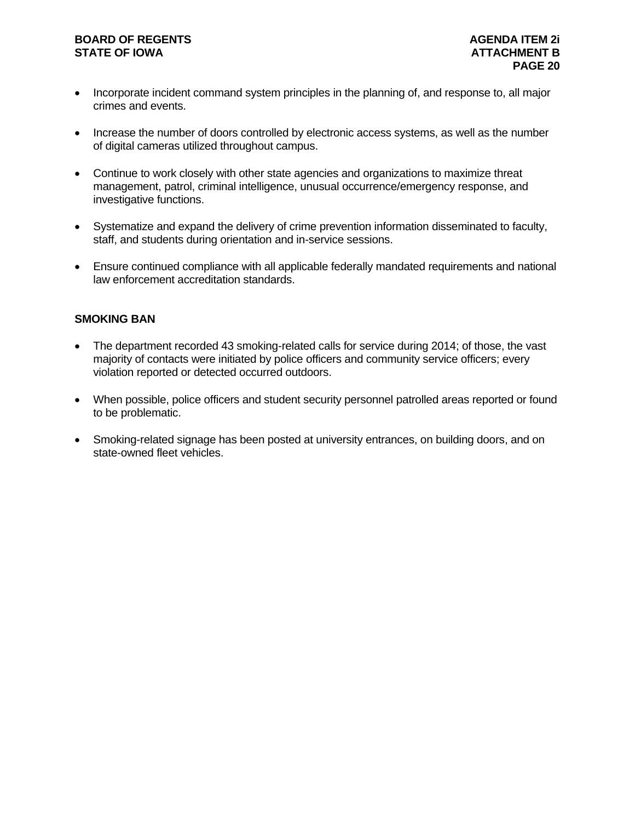- Incorporate incident command system principles in the planning of, and response to, all major crimes and events.
- Increase the number of doors controlled by electronic access systems, as well as the number of digital cameras utilized throughout campus.
- Continue to work closely with other state agencies and organizations to maximize threat management, patrol, criminal intelligence, unusual occurrence/emergency response, and investigative functions.
- Systematize and expand the delivery of crime prevention information disseminated to faculty, staff, and students during orientation and in-service sessions.
- Ensure continued compliance with all applicable federally mandated requirements and national law enforcement accreditation standards.

#### **SMOKING BAN**

- The department recorded 43 smoking-related calls for service during 2014; of those, the vast majority of contacts were initiated by police officers and community service officers; every violation reported or detected occurred outdoors.
- When possible, police officers and student security personnel patrolled areas reported or found to be problematic.
- Smoking-related signage has been posted at university entrances, on building doors, and on state-owned fleet vehicles.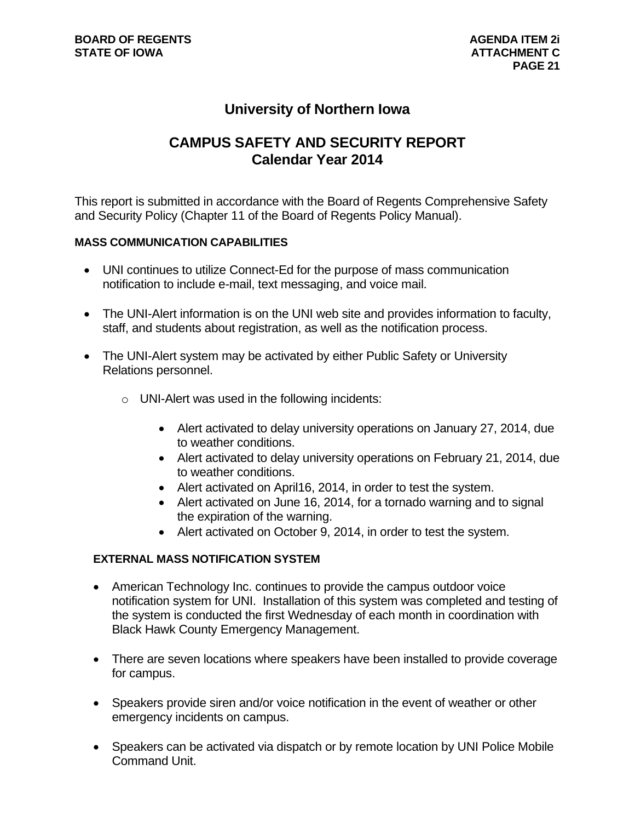# **University of Northern Iowa**

# **CAMPUS SAFETY AND SECURITY REPORT Calendar Year 2014**

This report is submitted in accordance with the Board of Regents Comprehensive Safety and Security Policy (Chapter 11 of the Board of Regents Policy Manual).

#### **MASS COMMUNICATION CAPABILITIES**

- UNI continues to utilize Connect-Ed for the purpose of mass communication notification to include e-mail, text messaging, and voice mail.
- The UNI-Alert information is on the UNI web site and provides information to faculty, staff, and students about registration, as well as the notification process.
- The UNI-Alert system may be activated by either Public Safety or University Relations personnel.
	- o UNI-Alert was used in the following incidents:
		- Alert activated to delay university operations on January 27, 2014, due to weather conditions.
		- Alert activated to delay university operations on February 21, 2014, due to weather conditions.
		- Alert activated on April16, 2014, in order to test the system.
		- Alert activated on June 16, 2014, for a tornado warning and to signal the expiration of the warning.
		- Alert activated on October 9, 2014, in order to test the system.

#### **EXTERNAL MASS NOTIFICATION SYSTEM**

- American Technology Inc. continues to provide the campus outdoor voice notification system for UNI. Installation of this system was completed and testing of the system is conducted the first Wednesday of each month in coordination with Black Hawk County Emergency Management.
- There are seven locations where speakers have been installed to provide coverage for campus.
- Speakers provide siren and/or voice notification in the event of weather or other emergency incidents on campus.
- Speakers can be activated via dispatch or by remote location by UNI Police Mobile Command Unit.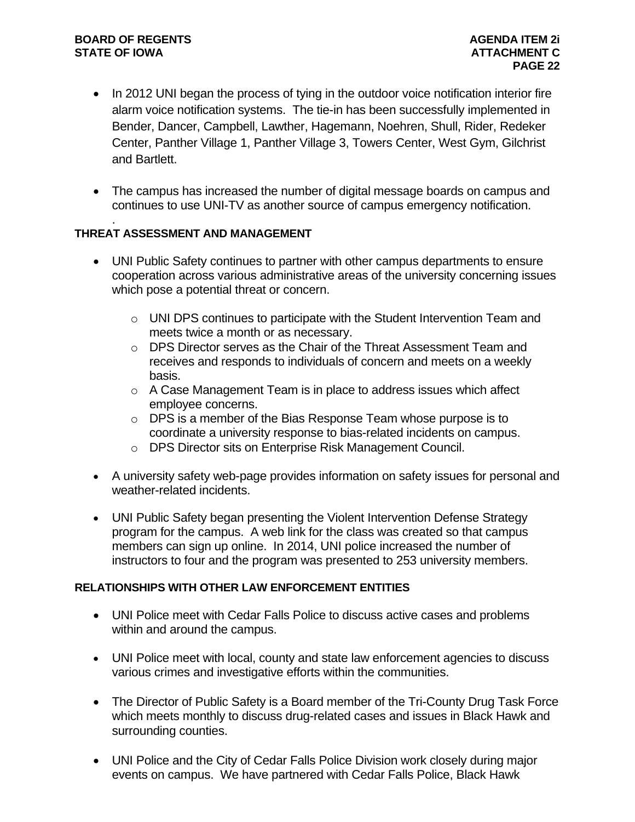- In 2012 UNI began the process of tying in the outdoor voice notification interior fire alarm voice notification systems. The tie-in has been successfully implemented in Bender, Dancer, Campbell, Lawther, Hagemann, Noehren, Shull, Rider, Redeker Center, Panther Village 1, Panther Village 3, Towers Center, West Gym, Gilchrist and Bartlett.
- The campus has increased the number of digital message boards on campus and continues to use UNI-TV as another source of campus emergency notification.

#### . **THREAT ASSESSMENT AND MANAGEMENT**

- UNI Public Safety continues to partner with other campus departments to ensure cooperation across various administrative areas of the university concerning issues which pose a potential threat or concern.
	- o UNI DPS continues to participate with the Student Intervention Team and meets twice a month or as necessary.
	- o DPS Director serves as the Chair of the Threat Assessment Team and receives and responds to individuals of concern and meets on a weekly basis.
	- o A Case Management Team is in place to address issues which affect employee concerns.
	- o DPS is a member of the Bias Response Team whose purpose is to coordinate a university response to bias-related incidents on campus.
	- o DPS Director sits on Enterprise Risk Management Council.
- A university safety web-page provides information on safety issues for personal and weather-related incidents.
- UNI Public Safety began presenting the Violent Intervention Defense Strategy program for the campus. A web link for the class was created so that campus members can sign up online. In 2014, UNI police increased the number of instructors to four and the program was presented to 253 university members.

#### **RELATIONSHIPS WITH OTHER LAW ENFORCEMENT ENTITIES**

- UNI Police meet with Cedar Falls Police to discuss active cases and problems within and around the campus.
- UNI Police meet with local, county and state law enforcement agencies to discuss various crimes and investigative efforts within the communities.
- The Director of Public Safety is a Board member of the Tri-County Drug Task Force which meets monthly to discuss drug-related cases and issues in Black Hawk and surrounding counties.
- UNI Police and the City of Cedar Falls Police Division work closely during major events on campus. We have partnered with Cedar Falls Police, Black Hawk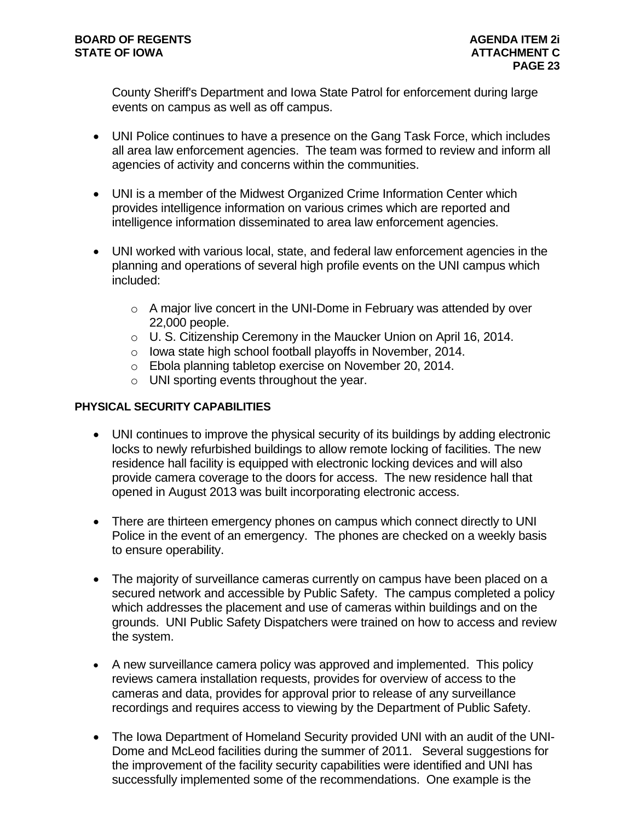County Sheriff's Department and Iowa State Patrol for enforcement during large events on campus as well as off campus.

- UNI Police continues to have a presence on the Gang Task Force, which includes all area law enforcement agencies. The team was formed to review and inform all agencies of activity and concerns within the communities.
- UNI is a member of the Midwest Organized Crime Information Center which provides intelligence information on various crimes which are reported and intelligence information disseminated to area law enforcement agencies.
- UNI worked with various local, state, and federal law enforcement agencies in the planning and operations of several high profile events on the UNI campus which included:
	- o A major live concert in the UNI-Dome in February was attended by over 22,000 people.
	- o U. S. Citizenship Ceremony in the Maucker Union on April 16, 2014.
	- o Iowa state high school football playoffs in November, 2014.
	- o Ebola planning tabletop exercise on November 20, 2014.
	- o UNI sporting events throughout the year.

### **PHYSICAL SECURITY CAPABILITIES**

- UNI continues to improve the physical security of its buildings by adding electronic locks to newly refurbished buildings to allow remote locking of facilities. The new residence hall facility is equipped with electronic locking devices and will also provide camera coverage to the doors for access. The new residence hall that opened in August 2013 was built incorporating electronic access.
- There are thirteen emergency phones on campus which connect directly to UNI Police in the event of an emergency. The phones are checked on a weekly basis to ensure operability.
- The majority of surveillance cameras currently on campus have been placed on a secured network and accessible by Public Safety. The campus completed a policy which addresses the placement and use of cameras within buildings and on the grounds. UNI Public Safety Dispatchers were trained on how to access and review the system.
- A new surveillance camera policy was approved and implemented. This policy reviews camera installation requests, provides for overview of access to the cameras and data, provides for approval prior to release of any surveillance recordings and requires access to viewing by the Department of Public Safety.
- The Iowa Department of Homeland Security provided UNI with an audit of the UNI-Dome and McLeod facilities during the summer of 2011. Several suggestions for the improvement of the facility security capabilities were identified and UNI has successfully implemented some of the recommendations. One example is the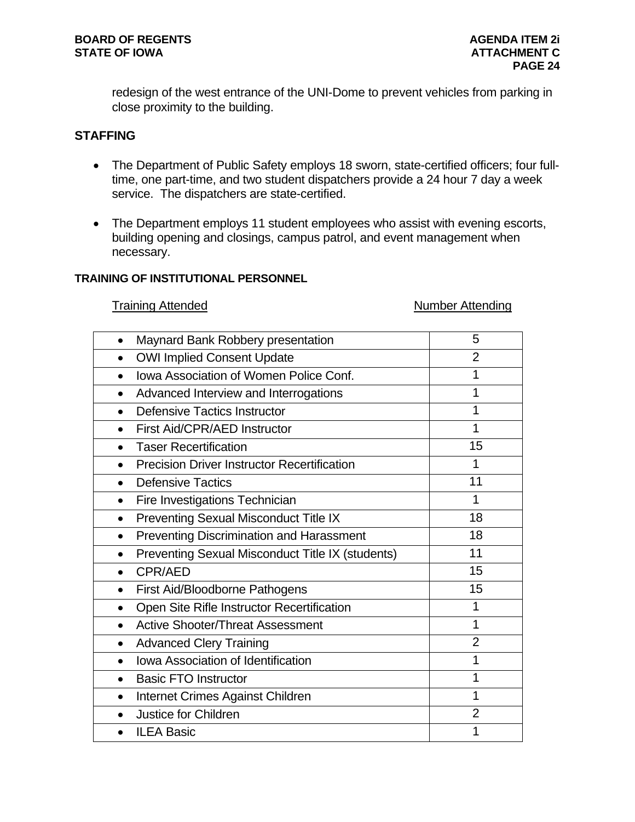redesign of the west entrance of the UNI-Dome to prevent vehicles from parking in close proximity to the building.

#### **STAFFING**

- The Department of Public Safety employs 18 sworn, state-certified officers; four fulltime, one part-time, and two student dispatchers provide a 24 hour 7 day a week service. The dispatchers are state-certified.
- The Department employs 11 student employees who assist with evening escorts, building opening and closings, campus patrol, and event management when necessary.

#### **TRAINING OF INSTITUTIONAL PERSONNEL**

#### Training Attended Number Attending

| Maynard Bank Robbery presentation                               | 5              |
|-----------------------------------------------------------------|----------------|
|                                                                 |                |
| <b>OWI Implied Consent Update</b>                               | $\overline{2}$ |
| <b>Iowa Association of Women Police Conf.</b><br>$\bullet$      | 1              |
| Advanced Interview and Interrogations                           | 1              |
| Defensive Tactics Instructor<br>$\bullet$                       | 1              |
| First Aid/CPR/AED Instructor<br>$\bullet$                       | 1              |
| <b>Taser Recertification</b><br>$\bullet$                       | 15             |
| <b>Precision Driver Instructor Recertification</b><br>$\bullet$ | 1              |
| <b>Defensive Tactics</b><br>$\bullet$                           | 11             |
| Fire Investigations Technician<br>$\bullet$                     | 1              |
| <b>Preventing Sexual Misconduct Title IX</b><br>$\bullet$       | 18             |
| <b>Preventing Discrimination and Harassment</b><br>$\bullet$    | 18             |
| Preventing Sexual Misconduct Title IX (students)<br>$\bullet$   | 11             |
| CPR/AED<br>$\bullet$                                            | 15             |
| First Aid/Bloodborne Pathogens<br>$\bullet$                     | 15             |
| Open Site Rifle Instructor Recertification<br>$\bullet$         | 1              |
| <b>Active Shooter/Threat Assessment</b><br>$\bullet$            | 1              |
| <b>Advanced Clery Training</b><br>$\bullet$                     | $\overline{2}$ |
| <b>Iowa Association of Identification</b>                       | 1              |
| <b>Basic FTO Instructor</b><br>$\bullet$                        | 1              |
| Internet Crimes Against Children<br>$\bullet$                   | 1              |
| Justice for Children<br>$\bullet$                               | $\overline{2}$ |
|                                                                 |                |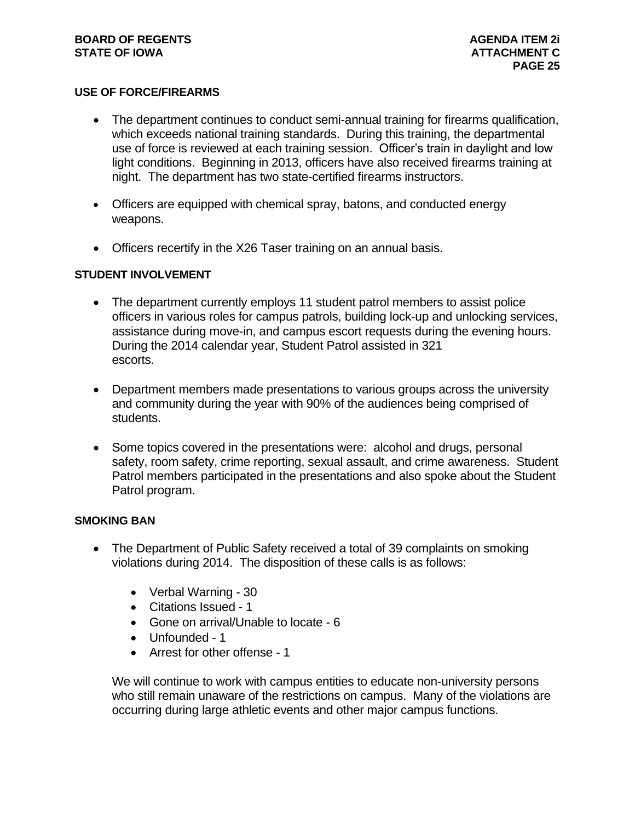#### **USE OF FORCE/FIREARMS**

- The department continues to conduct semi-annual training for firearms qualification, which exceeds national training standards. During this training, the departmental use of force is reviewed at each training session. Officer's train in daylight and low light conditions. Beginning in 2013, officers have also received firearms training at night. The department has two state-certified firearms instructors.
- Officers are equipped with chemical spray, batons, and conducted energy weapons.
- Officers recertify in the X26 Taser training on an annual basis.

#### **STUDENT INVOLVEMENT**

- The department currently employs 11 student patrol members to assist police officers in various roles for campus patrols, building lock-up and unlocking services, assistance during move-in, and campus escort requests during the evening hours. During the 2014 calendar year, Student Patrol assisted in 321 escorts.
- Department members made presentations to various groups across the university and community during the year with 90% of the audiences being comprised of students.
- Some topics covered in the presentations were: alcohol and drugs, personal safety, room safety, crime reporting, sexual assault, and crime awareness. Student Patrol members participated in the presentations and also spoke about the Student Patrol program.

#### **SMOKING BAN**

- The Department of Public Safety received a total of 39 complaints on smoking violations during 2014. The disposition of these calls is as follows:
	- Verbal Warning 30
	- Citations Issued 1
	- Gone on arrival/Unable to locate 6
	- Unfounded 1
	- Arrest for other offense 1

We will continue to work with campus entities to educate non-university persons who still remain unaware of the restrictions on campus. Many of the violations are occurring during large athletic events and other major campus functions.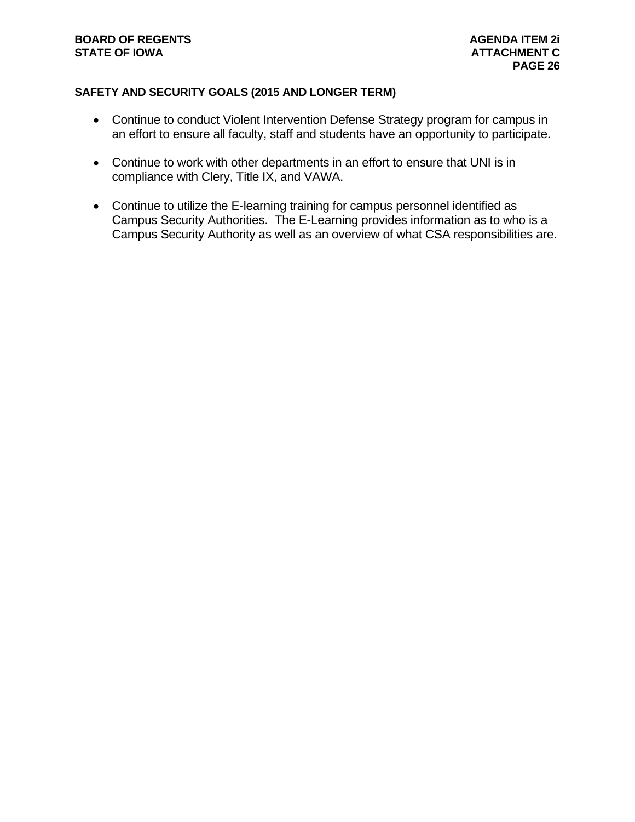### **SAFETY AND SECURITY GOALS (2015 AND LONGER TERM)**

- Continue to conduct Violent Intervention Defense Strategy program for campus in an effort to ensure all faculty, staff and students have an opportunity to participate.
- Continue to work with other departments in an effort to ensure that UNI is in compliance with Clery, Title IX, and VAWA.
- Continue to utilize the E-learning training for campus personnel identified as Campus Security Authorities. The E-Learning provides information as to who is a Campus Security Authority as well as an overview of what CSA responsibilities are.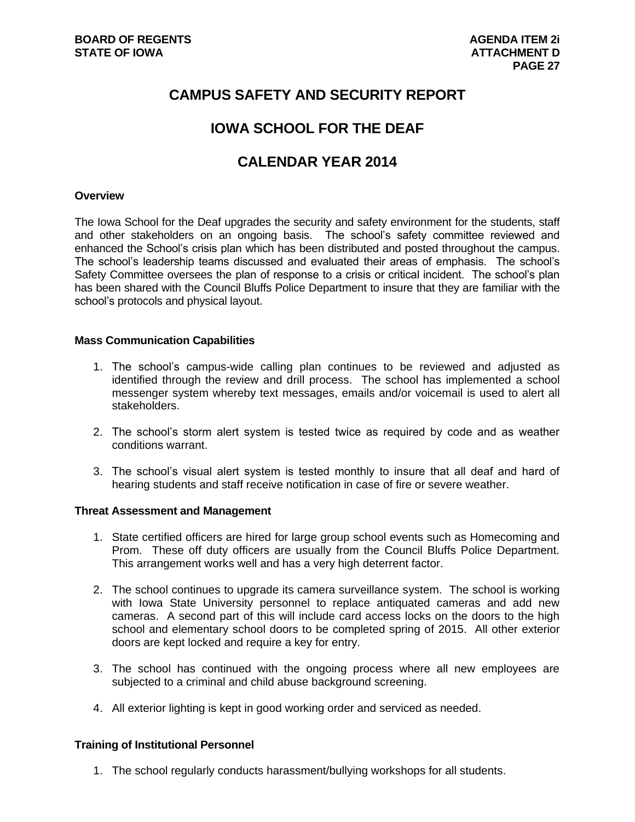# **CAMPUS SAFETY AND SECURITY REPORT**

# **IOWA SCHOOL FOR THE DEAF**

# **CALENDAR YEAR 2014**

#### **Overview**

The Iowa School for the Deaf upgrades the security and safety environment for the students, staff and other stakeholders on an ongoing basis. The school's safety committee reviewed and enhanced the School's crisis plan which has been distributed and posted throughout the campus. The school's leadership teams discussed and evaluated their areas of emphasis. The school's Safety Committee oversees the plan of response to a crisis or critical incident. The school's plan has been shared with the Council Bluffs Police Department to insure that they are familiar with the school's protocols and physical layout.

#### **Mass Communication Capabilities**

- 1. The school's campus-wide calling plan continues to be reviewed and adjusted as identified through the review and drill process. The school has implemented a school messenger system whereby text messages, emails and/or voicemail is used to alert all stakeholders.
- 2. The school's storm alert system is tested twice as required by code and as weather conditions warrant.
- 3. The school's visual alert system is tested monthly to insure that all deaf and hard of hearing students and staff receive notification in case of fire or severe weather.

#### **Threat Assessment and Management**

- 1. State certified officers are hired for large group school events such as Homecoming and Prom. These off duty officers are usually from the Council Bluffs Police Department. This arrangement works well and has a very high deterrent factor.
- 2. The school continues to upgrade its camera surveillance system. The school is working with Iowa State University personnel to replace antiquated cameras and add new cameras. A second part of this will include card access locks on the doors to the high school and elementary school doors to be completed spring of 2015. All other exterior doors are kept locked and require a key for entry.
- 3. The school has continued with the ongoing process where all new employees are subjected to a criminal and child abuse background screening.
- 4. All exterior lighting is kept in good working order and serviced as needed.

#### **Training of Institutional Personnel**

1. The school regularly conducts harassment/bullying workshops for all students.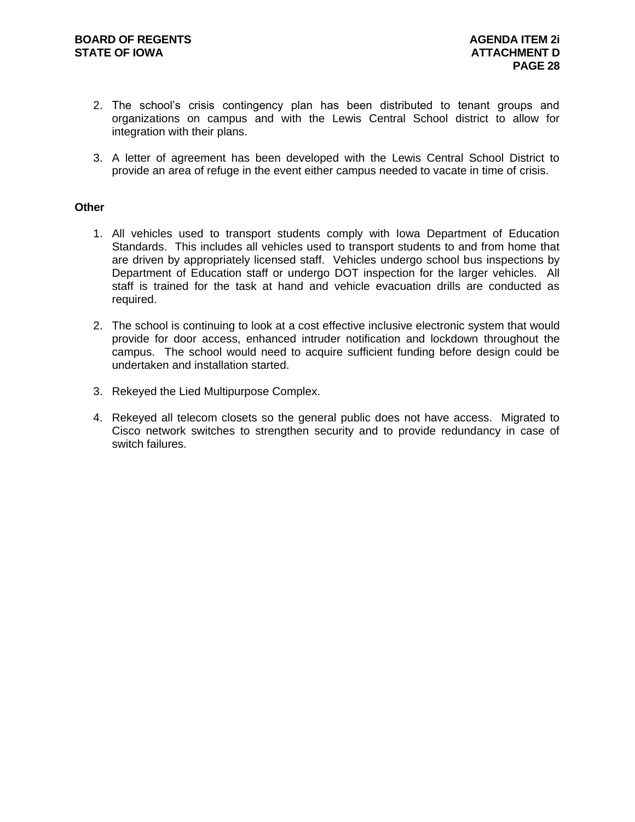- 2. The school's crisis contingency plan has been distributed to tenant groups and organizations on campus and with the Lewis Central School district to allow for integration with their plans.
- 3. A letter of agreement has been developed with the Lewis Central School District to provide an area of refuge in the event either campus needed to vacate in time of crisis.

#### **Other**

- 1. All vehicles used to transport students comply with Iowa Department of Education Standards. This includes all vehicles used to transport students to and from home that are driven by appropriately licensed staff. Vehicles undergo school bus inspections by Department of Education staff or undergo DOT inspection for the larger vehicles. All staff is trained for the task at hand and vehicle evacuation drills are conducted as required.
- 2. The school is continuing to look at a cost effective inclusive electronic system that would provide for door access, enhanced intruder notification and lockdown throughout the campus. The school would need to acquire sufficient funding before design could be undertaken and installation started.
- 3. Rekeyed the Lied Multipurpose Complex.
- 4. Rekeyed all telecom closets so the general public does not have access. Migrated to Cisco network switches to strengthen security and to provide redundancy in case of switch failures.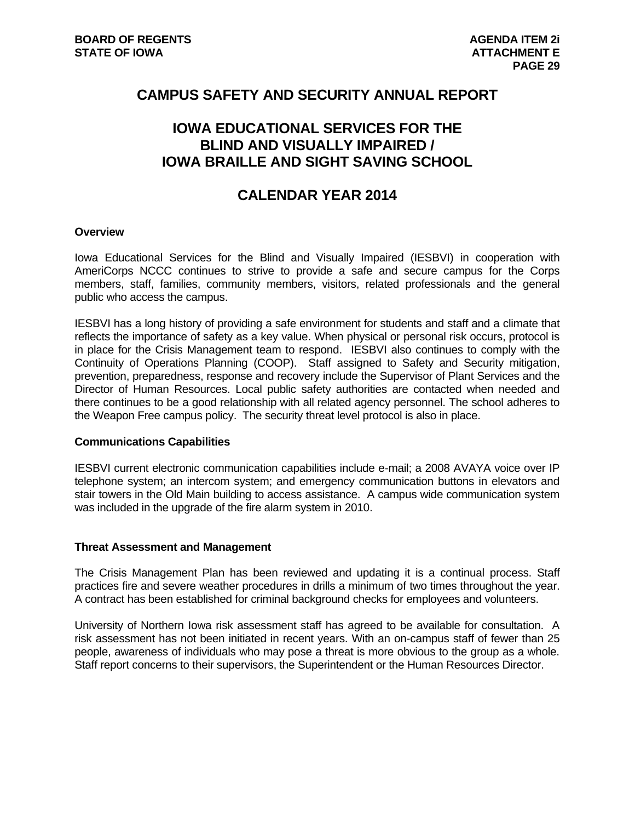# **CAMPUS SAFETY AND SECURITY ANNUAL REPORT**

# **IOWA EDUCATIONAL SERVICES FOR THE BLIND AND VISUALLY IMPAIRED / IOWA BRAILLE AND SIGHT SAVING SCHOOL**

# **CALENDAR YEAR 2014**

#### **Overview**

Iowa Educational Services for the Blind and Visually Impaired (IESBVI) in cooperation with AmeriCorps NCCC continues to strive to provide a safe and secure campus for the Corps members, staff, families, community members, visitors, related professionals and the general public who access the campus.

IESBVI has a long history of providing a safe environment for students and staff and a climate that reflects the importance of safety as a key value. When physical or personal risk occurs, protocol is in place for the Crisis Management team to respond. IESBVI also continues to comply with the Continuity of Operations Planning (COOP). Staff assigned to Safety and Security mitigation, prevention, preparedness, response and recovery include the Supervisor of Plant Services and the Director of Human Resources. Local public safety authorities are contacted when needed and there continues to be a good relationship with all related agency personnel. The school adheres to the Weapon Free campus policy. The security threat level protocol is also in place.

#### **Communications Capabilities**

IESBVI current electronic communication capabilities include e-mail; a 2008 AVAYA voice over IP telephone system; an intercom system; and emergency communication buttons in elevators and stair towers in the Old Main building to access assistance. A campus wide communication system was included in the upgrade of the fire alarm system in 2010.

#### **Threat Assessment and Management**

The Crisis Management Plan has been reviewed and updating it is a continual process. Staff practices fire and severe weather procedures in drills a minimum of two times throughout the year. A contract has been established for criminal background checks for employees and volunteers.

University of Northern Iowa risk assessment staff has agreed to be available for consultation. A risk assessment has not been initiated in recent years. With an on-campus staff of fewer than 25 people, awareness of individuals who may pose a threat is more obvious to the group as a whole. Staff report concerns to their supervisors, the Superintendent or the Human Resources Director.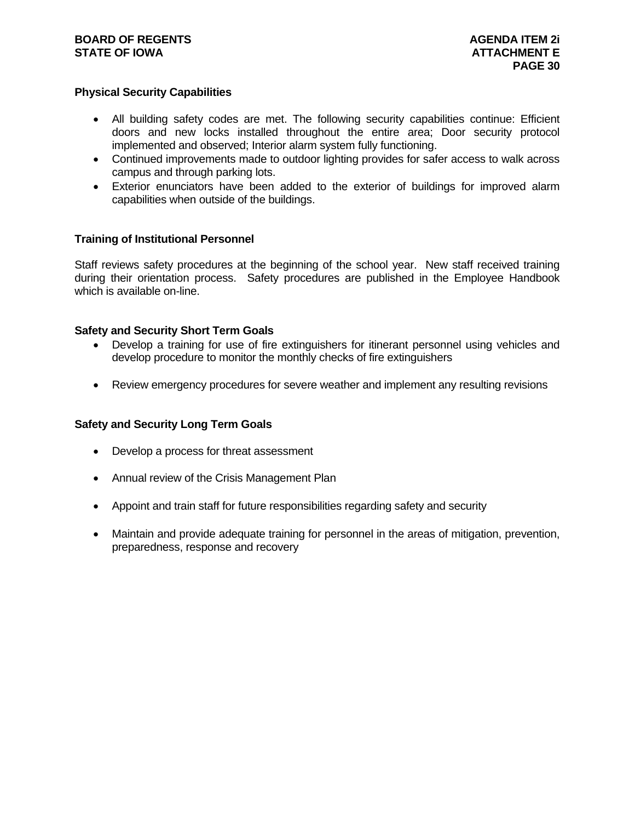#### **Physical Security Capabilities**

- All building safety codes are met. The following security capabilities continue: Efficient doors and new locks installed throughout the entire area; Door security protocol implemented and observed; Interior alarm system fully functioning.
- Continued improvements made to outdoor lighting provides for safer access to walk across campus and through parking lots.
- Exterior enunciators have been added to the exterior of buildings for improved alarm capabilities when outside of the buildings.

#### **Training of Institutional Personnel**

Staff reviews safety procedures at the beginning of the school year. New staff received training during their orientation process. Safety procedures are published in the Employee Handbook which is available on-line.

#### **Safety and Security Short Term Goals**

- Develop a training for use of fire extinguishers for itinerant personnel using vehicles and develop procedure to monitor the monthly checks of fire extinguishers
- Review emergency procedures for severe weather and implement any resulting revisions

#### **Safety and Security Long Term Goals**

- Develop a process for threat assessment
- Annual review of the Crisis Management Plan
- Appoint and train staff for future responsibilities regarding safety and security
- Maintain and provide adequate training for personnel in the areas of mitigation, prevention, preparedness, response and recovery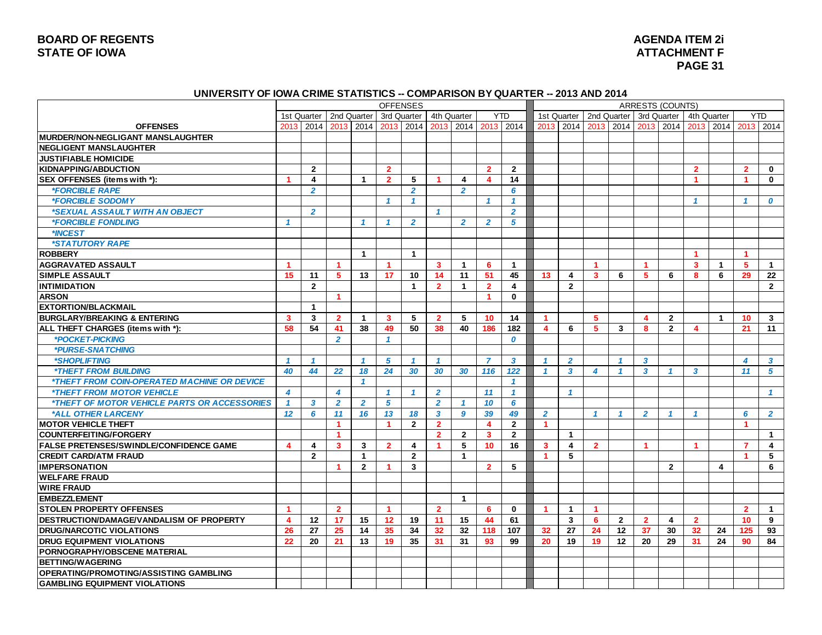#### **UNIVERSITY OF IOWA CRIME STATISTICS -- COMPARISON BY QUARTER -- 2013 AND 2014**

|                                                            | <b>OFFENSES</b>         |                         |                         |                      |                         |                         |                      |                         |                         |                         |                         |                         |                         |                |                  | <b>ARRESTS (COUNTS)</b> |                         |                |                      |                         |
|------------------------------------------------------------|-------------------------|-------------------------|-------------------------|----------------------|-------------------------|-------------------------|----------------------|-------------------------|-------------------------|-------------------------|-------------------------|-------------------------|-------------------------|----------------|------------------|-------------------------|-------------------------|----------------|----------------------|-------------------------|
|                                                            |                         | 1st Quarter             | 2nd Quarter             |                      | 3rd Quarter             |                         | 4th Quarter          |                         |                         | <b>YTD</b>              | 1st Quarter             |                         |                         | 2nd Quarter    |                  | 3rd Quarter             |                         | 4th Quarter    |                      | <b>YTD</b>              |
| <b>OFFENSES</b>                                            | 2013                    | 2014                    | 2013                    | 2014                 | 2013                    | 2014                    | 2013                 | 2014                    |                         | 2013 2014               | 2013                    | 2014                    | 2013                    | 2014           | 2013             | 2014                    | 2013                    | 2014           | 2013                 | 2014                    |
| <b>IMURDER/NON-NEGLIGANT MANSLAUGHTER</b>                  |                         |                         |                         |                      |                         |                         |                      |                         |                         |                         |                         |                         |                         |                |                  |                         |                         |                |                      |                         |
| <b>NEGLIGENT MANSLAUGHTER</b>                              |                         |                         |                         |                      |                         |                         |                      |                         |                         |                         |                         |                         |                         |                |                  |                         |                         |                |                      |                         |
| <b>JUSTIFIABLE HOMICIDE</b>                                |                         |                         |                         |                      |                         |                         |                      |                         |                         |                         |                         |                         |                         |                |                  |                         |                         |                |                      |                         |
| <b>KIDNAPPING/ABDUCTION</b>                                |                         | $\overline{2}$          |                         |                      | $\overline{2}$          |                         |                      |                         | $\overline{2}$          | $\overline{2}$          |                         |                         |                         |                |                  |                         | $\overline{2}$          |                | $\overline{2}$       | $\mathbf{0}$            |
| SEX OFFENSES (items with *):                               | $\blacktriangleleft$    | 4                       |                         | $\mathbf{1}$         | $\overline{2}$          | 5                       | $\blacktriangleleft$ | 4                       | 4                       | 14                      |                         |                         |                         |                |                  |                         | $\blacktriangleleft$    |                | $\blacktriangleleft$ | $\mathbf 0$             |
| <i><b>*FORCIBLE RAPE</b></i>                               |                         | $\overline{2}$          |                         |                      |                         | $\overline{2}$          |                      | $\overline{2}$          |                         | 6                       |                         |                         |                         |                |                  |                         |                         |                |                      |                         |
| *FORCIBLE SODOMY                                           |                         |                         |                         |                      | $\mathbf{1}$            | $\mathbf{1}$            |                      |                         | $\mathcal I$            | $\overline{\mathbf{1}}$ |                         |                         |                         |                |                  |                         | $\overline{1}$          |                | $\overline{1}$       | $\boldsymbol{0}$        |
| *SEXUAL ASSAULT WITH AN OBJECT                             |                         | $\overline{2}$          |                         |                      |                         |                         | $\mathbf{1}$         |                         |                         | $\overline{2}$          |                         |                         |                         |                |                  |                         |                         |                |                      |                         |
| <i><b>*FORCIBLE FONDLING</b></i>                           | $\overline{1}$          |                         |                         | $\overline{1}$       | $\mathbf{1}$            | $\overline{2}$          |                      | $\overline{2}$          | $\overline{2}$          | $\sqrt{5}$              |                         |                         |                         |                |                  |                         |                         |                |                      |                         |
| *INCEST                                                    |                         |                         |                         |                      |                         |                         |                      |                         |                         |                         |                         |                         |                         |                |                  |                         |                         |                |                      |                         |
| *STATUTORY RAPE                                            |                         |                         |                         |                      |                         |                         |                      |                         |                         |                         |                         |                         |                         |                |                  |                         |                         |                |                      |                         |
| <b>ROBBERY</b>                                             |                         |                         |                         | $\overline{1}$       |                         | $\mathbf{1}$            |                      |                         |                         |                         |                         |                         |                         |                |                  |                         | $\blacktriangleleft$    |                | $\blacktriangleleft$ |                         |
| <b>AGGRAVATED ASSAULT</b>                                  | 1                       |                         | $\blacktriangleleft$    |                      | $\blacktriangleleft$    |                         | $\mathbf{3}$         | $\mathbf 1$             | -6                      | $\mathbf{1}$            |                         |                         | -1                      |                |                  |                         | 3                       | $\mathbf 1$    | 5                    | $\mathbf{1}$            |
| <b>SIMPLE ASSAULT</b>                                      | 15                      | 11                      | 5                       | 13                   | 17                      | 10 <sup>1</sup>         | 14                   | 11                      | 51                      | 45                      | 13                      | 4                       | $\overline{\mathbf{3}}$ | 6              | 5                | 6                       | 8                       | 6              | 29                   | 22                      |
| <b>INTIMIDATION</b>                                        |                         | $\overline{2}$          |                         |                      |                         | $\mathbf{1}$            | $\overline{2}$       | $\mathbf{1}$            | $\overline{2}$          | $\overline{\mathbf{4}}$ |                         | $\overline{2}$          |                         |                |                  |                         |                         |                |                      | $\overline{2}$          |
| <b>ARSON</b>                                               |                         |                         | $\overline{1}$          |                      |                         |                         |                      |                         | $\blacktriangleleft$    | $\mathbf{0}$            |                         |                         |                         |                |                  |                         |                         |                |                      |                         |
| <b>EXTORTION/BLACKMAIL</b>                                 |                         | $\mathbf 1$             |                         |                      |                         |                         |                      |                         |                         |                         |                         |                         |                         |                |                  |                         |                         |                |                      |                         |
| <b>BURGLARY/BREAKING &amp; ENTERING</b>                    | $\overline{\mathbf{3}}$ | $\overline{\mathbf{3}}$ | $\overline{2}$          | $\overline{1}$       | $\overline{\mathbf{3}}$ | 5                       | $\overline{2}$       | 5                       | 10 <sup>1</sup>         | 14                      |                         |                         | $\overline{5}$          |                | $\boldsymbol{4}$ | $\overline{2}$          |                         | $\mathbf{1}$   | 10 <sup>1</sup>      | $\mathbf{3}$            |
| ALL THEFT CHARGES (items with *):                          | 58                      | 54                      | 41                      | 38                   | 49                      | 50                      | 38                   | 40                      | 186                     | 182                     | $\overline{\mathbf{4}}$ | 6                       | 5                       | 3              | 8                | $\overline{2}$          | $\overline{\mathbf{4}}$ |                | 21                   | 11                      |
| *POCKET-PICKING                                            |                         |                         | $\overline{2}$          |                      | $\mathbf{1}$            |                         |                      |                         |                         | $\boldsymbol{0}$        |                         |                         |                         |                |                  |                         |                         |                |                      |                         |
| *PURSE-SNATCHING                                           |                         |                         |                         |                      |                         |                         |                      |                         |                         |                         |                         |                         |                         |                |                  |                         |                         |                |                      |                         |
| <i><b>*SHOPLIFTING</b></i>                                 | $\overline{1}$          | $\mathbf{1}$            |                         | $\mathbf{1}$         | $\sqrt{5}$              | $\mathbf{1}$            | $\mathbf{1}$         |                         | $\overline{7}$          | $\mathbf{3}$            | $\overline{1}$          | $\overline{2}$          |                         | $\overline{1}$ | $\mathbf{3}$     |                         |                         |                | 4                    | $\mathbf{3}$            |
| <i><b>*THEFT FROM BUILDING</b></i>                         | 40                      | 44                      | 22                      | 18                   | 24                      | 30                      | 30                   | 30                      | 116                     | 122                     | $\overline{\mathbf{A}}$ | 3                       | 4                       | 1              | 3                |                         | 3                       |                | 11                   | 5                       |
| <i><b>*THEFT FROM COIN-OPERATED MACHINE OR DEVICE</b></i>  |                         |                         |                         | $\mathbf{1}$         |                         |                         |                      |                         |                         | $\mathbf{1}$            |                         |                         |                         |                |                  |                         |                         |                |                      |                         |
| *THEFT FROM MOTOR VEHICLE                                  | $\overline{\mathbf{4}}$ |                         | $\overline{4}$          |                      | $\mathbf{1}$            | $\mathcal I$            | $\overline{2}$       |                         | 11                      | $\mathbf{1}$            |                         | $\mathbf{1}$            |                         |                |                  |                         |                         |                |                      | $\mathbf{1}$            |
| <i><b>*THEFT OF MOTOR VEHICLE PARTS OR ACCESSORIES</b></i> | $\mathbf{1}$            | 3                       | $\overline{2}$          | $\overline{2}$       | $\sqrt{5}$              |                         | $\overline{2}$       | $\overline{\mathbf{1}}$ | 10                      | 6                       |                         |                         |                         |                |                  |                         |                         |                |                      |                         |
| *ALL OTHER LARCENY                                         | 12                      | 6                       | 11                      | 16                   | 13                      | 18                      | 3                    | 9                       | 39                      | 49                      | $\overline{2}$          |                         | $\overline{\mathbf{1}}$ | $\overline{1}$ | $\overline{2}$   | $\overline{1}$          |                         |                | 6                    | $\overline{2}$          |
| <b>MOTOR VEHICLE THEFT</b>                                 |                         |                         | $\blacktriangleleft$    |                      | $\blacktriangleleft$    | $\overline{2}$          | $\overline{2}$       |                         | $\overline{\mathbf{4}}$ | $\overline{2}$          | $\blacktriangleleft$    |                         |                         |                |                  |                         |                         |                | -1                   |                         |
| <b>COUNTERFEITING/FORGERY</b>                              |                         |                         | $\blacktriangleleft$    |                      |                         |                         | $\overline{2}$       | $\overline{2}$          | $\mathbf{3}$            | $\overline{2}$          |                         | $\mathbf{1}$            |                         |                |                  |                         |                         |                |                      | $\mathbf{1}$            |
| <b>FALSE PRETENSES/SWINDLE/CONFIDENCE GAME</b>             | 4                       | 4                       | $\overline{\mathbf{3}}$ | $\mathbf{3}$         | $\overline{2}$          | 4                       | 1                    | 5                       | 10                      | 16                      | $\overline{\mathbf{3}}$ | $\overline{\mathbf{4}}$ | $\overline{2}$          |                | -1               |                         | $\blacktriangleleft$    |                | $\overline{7}$       | $\overline{\mathbf{4}}$ |
| <b>CREDIT CARD/ATM FRAUD</b>                               |                         | $\overline{2}$          |                         | $\blacktriangleleft$ |                         | $\overline{2}$          |                      | $\blacktriangleleft$    |                         |                         | $\blacktriangleleft$    | 5                       |                         |                |                  |                         |                         |                | $\blacktriangleleft$ | 5                       |
| <b>IMPERSONATION</b>                                       |                         |                         |                         | $\overline{2}$       |                         | $\overline{\mathbf{3}}$ |                      |                         | $\overline{2}$          | 5                       |                         |                         |                         |                |                  | $\overline{2}$          |                         | $\overline{4}$ |                      | 6                       |
| <b>WELFARE FRAUD</b>                                       |                         |                         |                         |                      |                         |                         |                      |                         |                         |                         |                         |                         |                         |                |                  |                         |                         |                |                      |                         |
| <b>WIRE FRAUD</b>                                          |                         |                         |                         |                      |                         |                         |                      |                         |                         |                         |                         |                         |                         |                |                  |                         |                         |                |                      |                         |
| <b>EMBEZZLEMENT</b>                                        |                         |                         |                         |                      |                         |                         |                      | $\mathbf{1}$            |                         |                         |                         |                         |                         |                |                  |                         |                         |                |                      |                         |
| <b>STOLEN PROPERTY OFFENSES</b>                            |                         |                         | $\overline{2}$          |                      | -1                      |                         | $\overline{2}$       |                         | 6                       | $\mathbf{0}$            |                         | $\mathbf{1}$            |                         |                |                  |                         |                         |                | $\overline{2}$       | $\blacktriangleleft$    |
| DESTRUCTION/DAMAGE/VANDALISM OF PROPERTY                   | 4                       | $12 \,$                 | 17                      | 15                   | 12                      | 19                      | 11                   | 15                      | 44                      | 61                      |                         | $\mathbf{3}$            | 6                       | $\overline{2}$ | $\overline{2}$   | 4                       | $\overline{2}$          |                | 10 <sup>1</sup>      | 9                       |
| <b>DRUG/NARCOTIC VIOLATIONS</b>                            | 26                      | 27                      | 25                      | 14                   | 35                      | 34                      | 32                   | 32                      | 118                     | 107                     | 32                      | 27                      | 24                      | 12             | 37               | 30                      | 32 <sup>2</sup>         | 24             | 125                  | 93                      |
| <b>DRUG EQUIPMENT VIOLATIONS</b>                           | 22                      | 20                      | 21                      | 13                   | 19                      | 35                      | 31                   | 31                      | 93                      | 99                      | 20                      | 19                      | 19                      | $12 \,$        | 20               | 29                      | 31                      | 24             | 90                   | 84                      |
| PORNOGRAPHY/OBSCENE MATERIAL                               |                         |                         |                         |                      |                         |                         |                      |                         |                         |                         |                         |                         |                         |                |                  |                         |                         |                |                      |                         |
| <b>BETTING/WAGERING</b>                                    |                         |                         |                         |                      |                         |                         |                      |                         |                         |                         |                         |                         |                         |                |                  |                         |                         |                |                      |                         |
| <b>OPERATING/PROMOTING/ASSISTING GAMBLING</b>              |                         |                         |                         |                      |                         |                         |                      |                         |                         |                         |                         |                         |                         |                |                  |                         |                         |                |                      |                         |
| <b>GAMBLING EQUIPMENT VIOLATIONS</b>                       |                         |                         |                         |                      |                         |                         |                      |                         |                         |                         |                         |                         |                         |                |                  |                         |                         |                |                      |                         |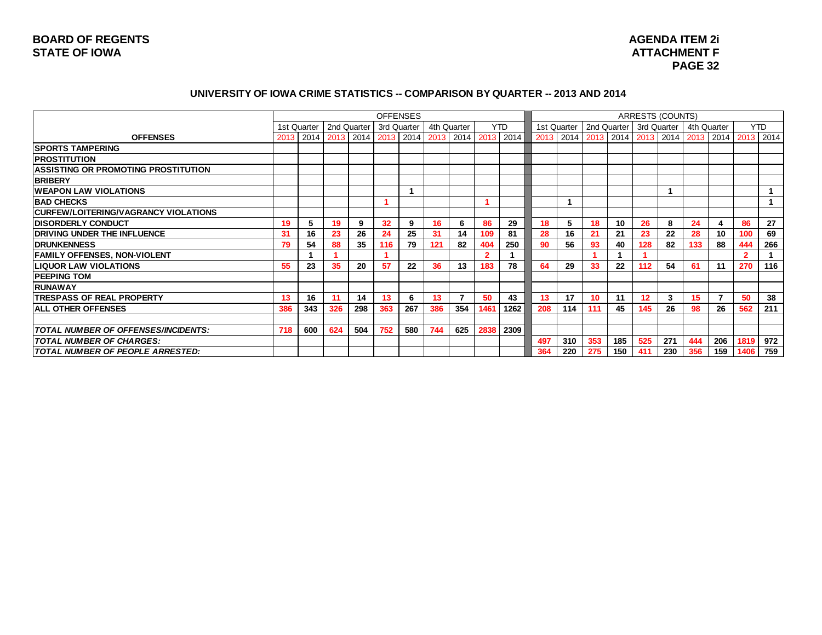# **2 i PAGE 32**

#### UNIVERSITY OF IOWA CRIME STATISTICS -- COMPARISON BY QUARTER -- 2013 AND 2014

|                                            |      |               |     |             |      | <b>OFFENSES</b> |           |             |                |            |     |             |     |     | ARRESTS (COUNTS)          |     |             |                                                              |                |            |
|--------------------------------------------|------|---------------|-----|-------------|------|-----------------|-----------|-------------|----------------|------------|-----|-------------|-----|-----|---------------------------|-----|-------------|--------------------------------------------------------------|----------------|------------|
|                                            |      | 1st Quarter I |     | 2nd Quarter |      | 3rd Quarter     |           | 4th Quarter |                | <b>YTD</b> |     | 1st Quarter |     |     | 2nd Quarter   3rd Quarter |     | 4th Quarter |                                                              |                | <b>YTD</b> |
| <b>OFFENSES</b>                            | 2013 | 2014          |     | 2013 2014   | 2013 |                 | 2014 2013 | 2014        |                | 2013 2014  |     |             |     |     |                           |     |             | 2013   2014   2013   2014   2013   2014   2013   2014   2013 |                | 2014       |
| <b>ISPORTS TAMPERING</b>                   |      |               |     |             |      |                 |           |             |                |            |     |             |     |     |                           |     |             |                                                              |                |            |
| <b>IPROSTITUTION</b>                       |      |               |     |             |      |                 |           |             |                |            |     |             |     |     |                           |     |             |                                                              |                |            |
| <b>ASSISTING OR PROMOTING PROSTITUTION</b> |      |               |     |             |      |                 |           |             |                |            |     |             |     |     |                           |     |             |                                                              |                |            |
| <b>BRIBERY</b>                             |      |               |     |             |      |                 |           |             |                |            |     |             |     |     |                           |     |             |                                                              |                |            |
| <b>IWEAPON LAW VIOLATIONS</b>              |      |               |     |             |      |                 |           |             |                |            |     |             |     |     |                           |     |             |                                                              |                |            |
| <b>BAD CHECKS</b>                          |      |               |     |             |      |                 |           |             |                |            |     |             |     |     |                           |     |             |                                                              |                |            |
| CURFEW/LOITERING/VAGRANCY VIOLATIONS       |      |               |     |             |      |                 |           |             |                |            |     |             |     |     |                           |     |             |                                                              |                |            |
| <b>IDISORDERLY CONDUCT</b>                 | 19   |               | 19  | 9           | 32   | 9               | 16        | 6           | 86             | 29         | 18  | 5           | 18  | 10  | 26                        | 8   | 24          | 4                                                            | 86             | 27         |
| <b>DRIVING UNDER THE INFLUENCE</b>         | 31   | 16            | 23  | 26          | 24   | 25              | 31        | 14          | 109            | 81         | 28  | 16          | 21  | 21  | 23                        | 22  | 28          | 10                                                           | 100            | 69         |
| <b>DRUNKENNESS</b>                         | 79   | 54            | 88  | 35          | 116  | 79              | 121       | 82          | 404            | 250        | 90  | 56          | 93  | 40  | 128                       | 82  | 133         | 88                                                           | 444            | 266        |
| <b>FAMILY OFFENSES, NON-VIOLENT</b>        |      |               |     |             |      |                 |           |             | $\overline{2}$ |            |     |             |     |     |                           |     |             |                                                              | $\overline{2}$ |            |
| <b>LIQUOR LAW VIOLATIONS</b>               | 55   | 23            | 35  | 20          | 57   | 22              | 36        | 13          | 183            | 78         | 64  | 29          | 33  | 22  | 112                       | 54  | 61          | 11                                                           | 270            | 116        |
| <b>PEEPING TOM</b>                         |      |               |     |             |      |                 |           |             |                |            |     |             |     |     |                           |     |             |                                                              |                |            |
| IRUNAWAY                                   |      |               |     |             |      |                 |           |             |                |            |     |             |     |     |                           |     |             |                                                              |                |            |
| <b>ITRESPASS OF REAL PROPERTY</b>          | 13   | 16            | 11  | 14          | 13   | 6               | 13        |             | 50             | 43         | 13  | 17          | 10  | 11  | 12                        | 3   | 15          | 7                                                            | 50             | 38         |
| <b>ALL OTHER OFFENSES</b>                  | 386  | 343           | 326 | 298         | 363  | 267             | 386       | 354         | 1461           | 1262       | 208 | 114         | 111 | 45  | 145                       | 26  | 98          | 26                                                           | 562            | 211        |
|                                            |      |               |     |             |      |                 |           |             |                |            |     |             |     |     |                           |     |             |                                                              |                |            |
| <b>TOTAL NUMBER OF OFFENSES/INCIDENTS:</b> | 718  | 600           | 624 | 504         | 752  | 580             | 744       | 625         | 2838           | 2309       |     |             |     |     |                           |     |             |                                                              |                |            |
| <b>TOTAL NUMBER OF CHARGES:</b>            |      |               |     |             |      |                 |           |             |                |            | 497 | 310         | 353 | 185 | 525                       | 271 | 444         | 206                                                          | 1819           | 972        |
| TOTAL NUMBER OF PEOPLE ARRESTED:           |      |               |     |             |      |                 |           |             |                |            | 364 | 220         | 275 | 150 | 411                       | 230 | 356         | 159                                                          | 1406           | 759        |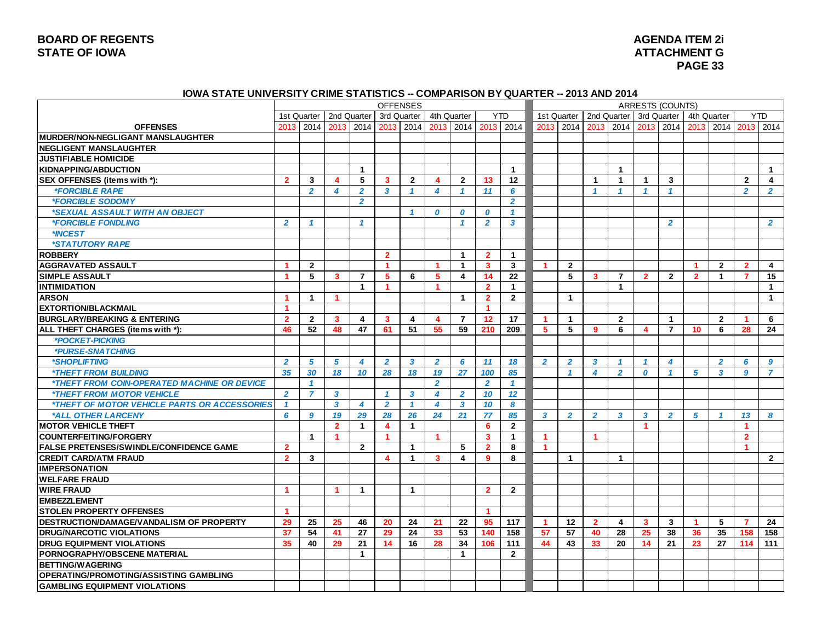# **BOARD OF REGENTS<br>STATE OF IOWA**

#### **2 i STATE OF IOWA ATTACHMENT G PAGE 33**

#### **IOWA STATE UNIVERSITY CRIME STATISTICS -- COMPARISON BY QUARTER -- 2013 AND 2014**

|                                                            |                      |                                         |                         |                      | <b>OFFENSES</b>         |                      |                         |                         |                      |                         |                      |                |                |                               |                         | <b>ARRESTS (COUNTS)</b> |                      |                      |                      |                |
|------------------------------------------------------------|----------------------|-----------------------------------------|-------------------------|----------------------|-------------------------|----------------------|-------------------------|-------------------------|----------------------|-------------------------|----------------------|----------------|----------------|-------------------------------|-------------------------|-------------------------|----------------------|----------------------|----------------------|----------------|
|                                                            |                      | 1st Quarter   2nd Quarter   3rd Quarter |                         |                      |                         |                      | 4th Quarter             |                         |                      | YTD.                    |                      | 1st Quarter    |                | 2nd Quarter 1 3rd Quarter     |                         |                         |                      | 4th Quarter          |                      | <b>YTD</b>     |
| <b>OFFENSES</b>                                            |                      | 2013 2014 2013 2014 2013 2014           |                         |                      |                         |                      |                         |                         | 2013 2014 2013 2014  |                         | 2013                 |                |                | 2014 2013 2014 2013 2014 2013 |                         |                         |                      |                      |                      | 2014 2013 2014 |
| MURDER/NON-NEGLIGANT MANSLAUGHTER                          |                      |                                         |                         |                      |                         |                      |                         |                         |                      |                         |                      |                |                |                               |                         |                         |                      |                      |                      |                |
| <b>NEGLIGENT MANSLAUGHTER</b>                              |                      |                                         |                         |                      |                         |                      |                         |                         |                      |                         |                      |                |                |                               |                         |                         |                      |                      |                      |                |
| <b>JUSTIFIABLE HOMICIDE</b>                                |                      |                                         |                         |                      |                         |                      |                         |                         |                      |                         |                      |                |                |                               |                         |                         |                      |                      |                      |                |
| <b>KIDNAPPING/ABDUCTION</b>                                |                      |                                         |                         | $\mathbf{1}$         |                         |                      |                         |                         |                      | $\overline{1}$          |                      |                |                | $\overline{1}$                |                         |                         |                      |                      |                      | $\mathbf{1}$   |
| SEX OFFENSES (items with *):                               | $\overline{2}$       | 3                                       | $\overline{\mathbf{4}}$ | 5                    | 3                       | $\overline{2}$       | 4                       | $\overline{2}$          | 13                   | 12                      |                      |                | $\mathbf{1}$   | $\mathbf{1}$                  | $\blacktriangleleft$    | $\mathbf{3}$            |                      |                      | $\overline{2}$       | $\overline{4}$ |
| <i><b>*FORCIBLE RAPE</b></i>                               |                      | $\overline{2}$                          | 4                       | $\overline{2}$       | $\overline{3}$          | $\mathcal I$         | 4                       | $\overline{1}$          | 11                   | 6                       |                      |                | $\mathbf{1}$   | $\overline{1}$                | $\mathbf{1}$            | $\mathbf{1}$            |                      |                      | $\overline{2}$       | $\overline{2}$ |
| <i><b>*FORCIBLE SODOMY</b></i>                             |                      |                                         |                         | $\overline{2}$       |                         |                      |                         |                         |                      | $\overline{2}$          |                      |                |                |                               |                         |                         |                      |                      |                      |                |
| *SEXUAL ASSAULT WITH AN OBJECT                             |                      |                                         |                         |                      |                         | $\overline{1}$       | 0                       | 0                       | 0                    | $\mathbf{1}$            |                      |                |                |                               |                         |                         |                      |                      |                      |                |
| <i><b>*FORCIBLE FONDLING</b></i>                           | $\overline{2}$       | $\mathbf{1}$                            |                         | $\mathbf{1}$         |                         |                      |                         | $\overline{1}$          | $\overline{2}$       | $\overline{\mathbf{3}}$ |                      |                |                |                               |                         | $\overline{2}$          |                      |                      |                      | $\overline{2}$ |
| *INCEST                                                    |                      |                                         |                         |                      |                         |                      |                         |                         |                      |                         |                      |                |                |                               |                         |                         |                      |                      |                      |                |
| *STATUTORY RAPE                                            |                      |                                         |                         |                      |                         |                      |                         |                         |                      |                         |                      |                |                |                               |                         |                         |                      |                      |                      |                |
| <b>ROBBERY</b>                                             |                      |                                         |                         |                      | $\overline{2}$          |                      |                         | $\mathbf{1}$            | $\overline{2}$       | $\mathbf{1}$            |                      |                |                |                               |                         |                         |                      |                      |                      |                |
| <b>AGGRAVATED ASSAULT</b>                                  | 1                    | $\overline{2}$                          |                         |                      | $\blacktriangleleft$    |                      | -1                      | $\mathbf 1$             | $\mathbf{3}$         | $\overline{\mathbf{3}}$ | -1                   | $\overline{2}$ |                |                               |                         |                         | $\blacktriangleleft$ | $\overline{2}$       | $\overline{2}$       | $\overline{4}$ |
| <b>SIMPLE ASSAULT</b>                                      | 1                    | 5                                       | 3                       | $\overline{7}$       | 5                       | 6                    | 5                       | $\overline{\mathbf{4}}$ | 14                   | 22                      |                      | 5              | 3              | $\overline{7}$                | $\overline{2}$          | $\overline{2}$          | $\overline{2}$       | $\blacktriangleleft$ | $\overline{7}$       | 15             |
| <b>INTIMIDATION</b>                                        |                      |                                         |                         | $\mathbf{1}$         | $\blacktriangleleft$    |                      | 1                       |                         | $\overline{2}$       | $\mathbf{1}$            |                      |                |                | $\mathbf{1}$                  |                         |                         |                      |                      |                      | $\mathbf{1}$   |
| <b>ARSON</b>                                               | 1                    | $\mathbf{1}$                            | $\blacktriangleleft$    |                      |                         |                      |                         | $\mathbf{1}$            | $\overline{2}$       | $\overline{2}$          |                      | $\overline{1}$ |                |                               |                         |                         |                      |                      |                      | $\mathbf{1}$   |
| <b>EXTORTION/BLACKMAIL</b>                                 | $\blacktriangleleft$ |                                         |                         |                      |                         |                      |                         |                         | $\blacktriangleleft$ |                         |                      |                |                |                               |                         |                         |                      |                      |                      |                |
| <b>BURGLARY/BREAKING &amp; ENTERING</b>                    | $\overline{2}$       | $\overline{2}$                          | 3                       | 4                    | 3                       | 4                    | $\overline{\mathbf{4}}$ | $\overline{7}$          | 12                   | 17                      | -1                   | $\mathbf{1}$   |                | $\overline{2}$                |                         | $\blacktriangleleft$    |                      | $\overline{2}$       | 1                    | 6              |
| ALL THEFT CHARGES (items with *):                          | 46                   | 52                                      | 48                      | 47                   | 61                      | 51                   | 55                      | 59                      | 210                  | 209                     | 5                    | 5              | 9              | 6                             | $\overline{\mathbf{4}}$ | $\overline{7}$          | 10 <sup>°</sup>      | 6                    | 28                   | 24             |
| *POCKET-PICKING                                            |                      |                                         |                         |                      |                         |                      |                         |                         |                      |                         |                      |                |                |                               |                         |                         |                      |                      |                      |                |
| *PURSE-SNATCHING                                           |                      |                                         |                         |                      |                         |                      |                         |                         |                      |                         |                      |                |                |                               |                         |                         |                      |                      |                      |                |
| <i><b>*SHOPLIFTING</b></i>                                 | $\overline{2}$       | 5                                       | $5^{\circ}$             | $\overline{4}$       | $\overline{2}$          | 3                    | $\overline{2}$          | 6                       | 11                   | 18                      | $\overline{2}$       | $\overline{2}$ | $\mathbf{3}$   | $\mathbf{1}$                  | $\mathbf{1}$            | 4                       |                      | $\overline{2}$       | 6                    | 9              |
| <i><b>*THEFT FROM BUILDING</b></i>                         | 35                   | 30                                      | 18                      | 10                   | 28                      | 18                   | 19                      | 27                      | 100                  | 85                      |                      | $\mathcal I$   | 4              | $\overline{2}$                | $\boldsymbol{0}$        | $\mathbf{1}$            | $\sqrt{5}$           | 3                    | 9                    | $\overline{7}$ |
| *THEFT FROM COIN-OPERATED MACHINE OR DEVICE                |                      | $\mathbf{1}$                            |                         |                      |                         |                      | $\overline{2}$          |                         | $\overline{2}$       | $\overline{1}$          |                      |                |                |                               |                         |                         |                      |                      |                      |                |
| *THEFT FROM MOTOR VEHICLE                                  | $\overline{2}$       | $\overline{7}$                          | $\mathbf{3}$            |                      | $\mathbf{1}$            | 3                    | $\overline{\mathbf{4}}$ | $\overline{2}$          | 10                   | 12                      |                      |                |                |                               |                         |                         |                      |                      |                      |                |
| <i><b>*THEFT OF MOTOR VEHICLE PARTS OR ACCESSORIES</b></i> | $\mathbf{1}$         |                                         | $\mathbf{3}$            | $\overline{4}$       | $\overline{2}$          | $\mathbf{1}$         | $\overline{\mathbf{4}}$ | $\mathbf{3}$            | 10                   | 8                       |                      |                |                |                               |                         |                         |                      |                      |                      |                |
| *ALL OTHER LARCENY                                         | 6                    | 9                                       | 19                      | 29                   | 28                      | 26                   | 24                      | 21                      | 77                   | 85                      | $\mathbf{3}$         | $\overline{2}$ | $\overline{2}$ | 3                             | $\mathbf{3}$            | $\overline{2}$          | 5                    | $\mathbf{1}$         | 13                   | 8              |
| <b>MOTOR VEHICLE THEFT</b>                                 |                      |                                         | $\overline{2}$          | $\mathbf{1}$         | $\overline{\mathbf{4}}$ | $\mathbf{1}$         |                         |                         | 6                    | $\overline{2}$          |                      |                |                |                               | $\blacktriangleleft$    |                         |                      |                      | $\blacktriangleleft$ |                |
| <b>COUNTERFEITING/FORGERY</b>                              |                      | $\blacktriangleleft$                    | 1                       |                      |                         |                      |                         |                         | $\mathbf{3}$         | $\overline{1}$          |                      |                | -1             |                               |                         |                         |                      |                      | $\overline{2}$       |                |
| <b>FALSE PRETENSES/SWINDLE/CONFIDENCE GAME</b>             | $\overline{2}$       |                                         |                         | $\overline{2}$       |                         | $\mathbf{1}$         |                         | 5                       | $\overline{2}$       | 8                       | $\blacktriangleleft$ |                |                |                               |                         |                         |                      |                      | $\blacktriangleleft$ |                |
| <b>CREDIT CARD/ATM FRAUD</b>                               | $\overline{2}$       | 3                                       |                         |                      | 4                       | $\blacktriangleleft$ | 3                       | 4                       | 9                    | 8                       |                      | $\mathbf 1$    |                | $\mathbf{1}$                  |                         |                         |                      |                      |                      | $\overline{2}$ |
| <b>IMPERSONATION</b>                                       |                      |                                         |                         |                      |                         |                      |                         |                         |                      |                         |                      |                |                |                               |                         |                         |                      |                      |                      |                |
| <b>WELFARE FRAUD</b>                                       |                      |                                         |                         |                      |                         |                      |                         |                         |                      |                         |                      |                |                |                               |                         |                         |                      |                      |                      |                |
| <b>WIRE FRAUD</b>                                          | $\blacktriangleleft$ |                                         | $\blacktriangleleft$    | $\mathbf 1$          |                         | $\mathbf{1}$         |                         |                         | $\overline{2}$       | $\overline{2}$          |                      |                |                |                               |                         |                         |                      |                      |                      |                |
| <b>EMBEZZLEMENT</b>                                        |                      |                                         |                         |                      |                         |                      |                         |                         |                      |                         |                      |                |                |                               |                         |                         |                      |                      |                      |                |
| <b>STOLEN PROPERTY OFFENSES</b>                            | 1                    |                                         |                         |                      |                         |                      |                         |                         | $\blacktriangleleft$ |                         |                      |                |                |                               |                         |                         |                      |                      |                      |                |
| DESTRUCTION/DAMAGE/VANDALISM OF PROPERTY                   | 29                   | 25                                      | 25                      | 46                   | 20                      | 24                   | 21                      | 22                      | 95                   | 117                     |                      | $12 \,$        | $\overline{2}$ | $\overline{\mathbf{4}}$       | $\overline{\mathbf{3}}$ | $\mathbf{3}$            | $\blacktriangleleft$ | 5                    | $\overline{7}$       | 24             |
| <b>IDRUG/NARCOTIC VIOLATIONS</b>                           | 37                   | 54                                      | 41                      | 27                   | 29                      | 24                   | 33                      | 53                      | 140                  | 158                     | 57                   | 57             | 40             | 28                            | 25                      | 38                      | 36                   | 35                   | 158                  | 158            |
| <b>DRUG EQUIPMENT VIOLATIONS</b>                           | 35                   | 40                                      | 29                      | 21                   | 14                      | 16                   | 28                      | 34                      | 106                  | 111                     | 44                   | 43             | 33             | 20                            | 14                      | 21                      | 23                   | 27                   | 114                  | 111            |
| <b>PORNOGRAPHY/OBSCENE MATERIAL</b>                        |                      |                                         |                         | $\blacktriangleleft$ |                         |                      |                         | $\mathbf{1}$            |                      | $\overline{2}$          |                      |                |                |                               |                         |                         |                      |                      |                      |                |
| <b>BETTING/WAGERING</b>                                    |                      |                                         |                         |                      |                         |                      |                         |                         |                      |                         |                      |                |                |                               |                         |                         |                      |                      |                      |                |
| <b>OPERATING/PROMOTING/ASSISTING GAMBLING</b>              |                      |                                         |                         |                      |                         |                      |                         |                         |                      |                         |                      |                |                |                               |                         |                         |                      |                      |                      |                |
| <b>GAMBLING EQUIPMENT VIOLATIONS</b>                       |                      |                                         |                         |                      |                         |                      |                         |                         |                      |                         |                      |                |                |                               |                         |                         |                      |                      |                      |                |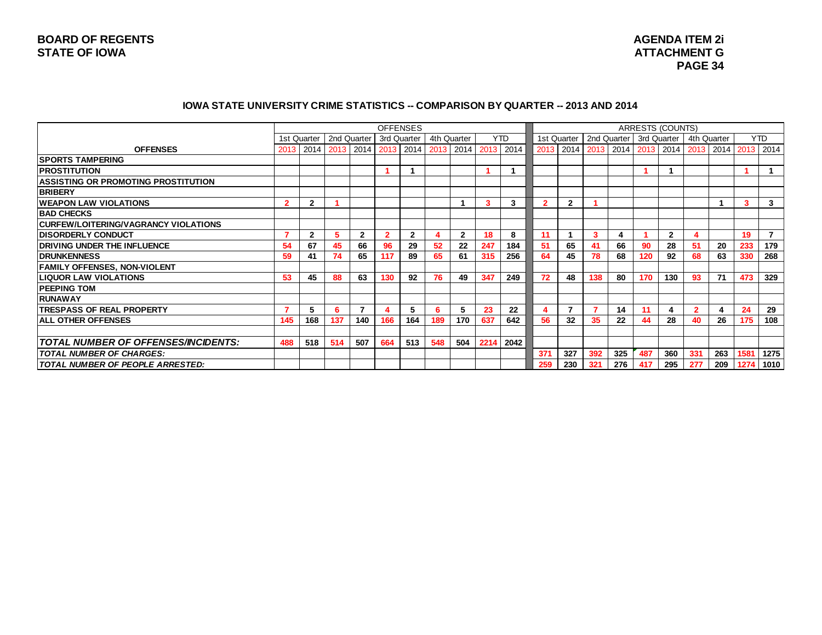#### **IOWA STATE UNIVERSITY CRIME STATISTICS -- COMPARISON BY QUARTER -- 2013 AND 2014**

|                                             |              |                                                       |     |               | <b>OFFENSES</b> |              |     |              |      |            |     |              |     |               |     | ARRESTS (COUNTS)                                             |             |     |      |                |
|---------------------------------------------|--------------|-------------------------------------------------------|-----|---------------|-----------------|--------------|-----|--------------|------|------------|-----|--------------|-----|---------------|-----|--------------------------------------------------------------|-------------|-----|------|----------------|
|                                             |              | 1st Quarter                                           |     | 2nd Quarter I | 3rd Quarter     |              |     | 4th Quarter  |      | <b>YTD</b> |     | 1st Quarter  |     | 2nd Quarter I |     | 3rd Quarter                                                  | 4th Quarter |     |      | <b>YTD</b>     |
| <b>OFFENSES</b>                             | 2013         | 2014   2013   2014   2013   2014   2013   2014   2013 |     |               |                 |              |     |              |      | 2014       |     |              |     |               |     | 2013   2014   2013   2014   2013   2014   2013   2014   2013 |             |     |      | 2014           |
| <b>ISPORTS TAMPERING</b>                    |              |                                                       |     |               |                 |              |     |              |      |            |     |              |     |               |     |                                                              |             |     |      |                |
| <b>IPROSTITUTION</b>                        |              |                                                       |     |               |                 |              |     |              |      |            |     |              |     |               | ۹   |                                                              |             |     |      |                |
| <b>ASSISTING OR PROMOTING PROSTITUTION</b>  |              |                                                       |     |               |                 |              |     |              |      |            |     |              |     |               |     |                                                              |             |     |      |                |
| <b>BRIBERY</b>                              |              |                                                       |     |               |                 |              |     |              |      |            |     |              |     |               |     |                                                              |             |     |      |                |
| <b>IWEAPON LAW VIOLATIONS</b>               | $\mathbf{2}$ | $\overline{2}$                                        |     |               |                 |              |     |              | 3    | 3          |     | $\mathbf{2}$ |     |               |     |                                                              |             |     | 3    | 3              |
| <b>BAD CHECKS</b>                           |              |                                                       |     |               |                 |              |     |              |      |            |     |              |     |               |     |                                                              |             |     |      |                |
| <b>CURFEW/LOITERING/VAGRANCY VIOLATIONS</b> |              |                                                       |     |               |                 |              |     |              |      |            |     |              |     |               |     |                                                              |             |     |      |                |
| <b>IDISORDERLY CONDUCT</b>                  |              | $\overline{2}$                                        | 5   | $\mathbf{2}$  | $\overline{2}$  | $\mathbf{2}$ |     | $\mathbf{2}$ | 18   | 8          | 11  |              | 3   | 4             |     | $\mathbf{2}$                                                 |             |     | 19   | $\overline{7}$ |
| <b>DRIVING UNDER THE INFLUENCE</b>          | 54           | 67                                                    | 45  | 66            | 96              | 29           | 52  | 22           | 247  | 184        | 51  | 65           | 41  | 66            | 90  | 28                                                           | -51         | 20  | 233  | 179            |
| <b>IDRUNKENNESS</b>                         | 59           | 41                                                    | 74  | 65            | 117             | 89           | 65  | 61           | 315  | 256        | 64  | 45           | 78  | 68            | 120 | 92                                                           | 68          | 63  | 330  | 268            |
| <b>FAMILY OFFENSES, NON-VIOLENT</b>         |              |                                                       |     |               |                 |              |     |              |      |            |     |              |     |               |     |                                                              |             |     |      |                |
| <b>LIQUOR LAW VIOLATIONS</b>                | 53           | 45                                                    | 88  | 63            | 130             | 92           | 76  | 49           | 347  | 249        | 72  | 48           | 138 | 80            | 170 | 130                                                          | 93          | 71  | 473  | 329            |
| <b>IPEEPING TOM</b>                         |              |                                                       |     |               |                 |              |     |              |      |            |     |              |     |               |     |                                                              |             |     |      |                |
| <b>IRUNAWAY</b>                             |              |                                                       |     |               |                 |              |     |              |      |            |     |              |     |               |     |                                                              |             |     |      |                |
| <b>TRESPASS OF REAL PROPERTY</b>            |              | 5                                                     | 6   | 7             | Δ               | 5            | 6   | 5            | 23   | 22         | 4   | 7            |     | 14            | 11  | 4                                                            | 2           | 4   | 24   | 29             |
| <b>ALL OTHER OFFENSES</b>                   | 145          | 168                                                   | 137 | 140           | 166             | 164          | 189 | 170          | 637  | 642        | 56  | 32           | 35  | 22            | 44  | 28                                                           | 40          | 26  | 175  | 108            |
|                                             |              |                                                       |     |               |                 |              |     |              |      |            |     |              |     |               |     |                                                              |             |     |      |                |
| <b>TOTAL NUMBER OF OFFENSES/INCIDENTS:</b>  | 488          | 518                                                   | 514 | 507           | 664             | 513          | 548 | 504          | 2214 | 2042       |     |              |     |               |     |                                                              |             |     |      |                |
| <b>TOTAL NUMBER OF CHARGES:</b>             |              |                                                       |     |               |                 |              |     |              |      |            | 371 | 327          | 392 | 325           | 487 | 360                                                          | 331         | 263 | 1581 | 1275           |
| <b>TOTAL NUMBER OF PEOPLE ARRESTED:</b>     |              |                                                       |     |               |                 |              |     |              |      |            | 259 | 230          | 321 | 276           | 417 | 295                                                          | 277         | 209 | 1274 | 1010           |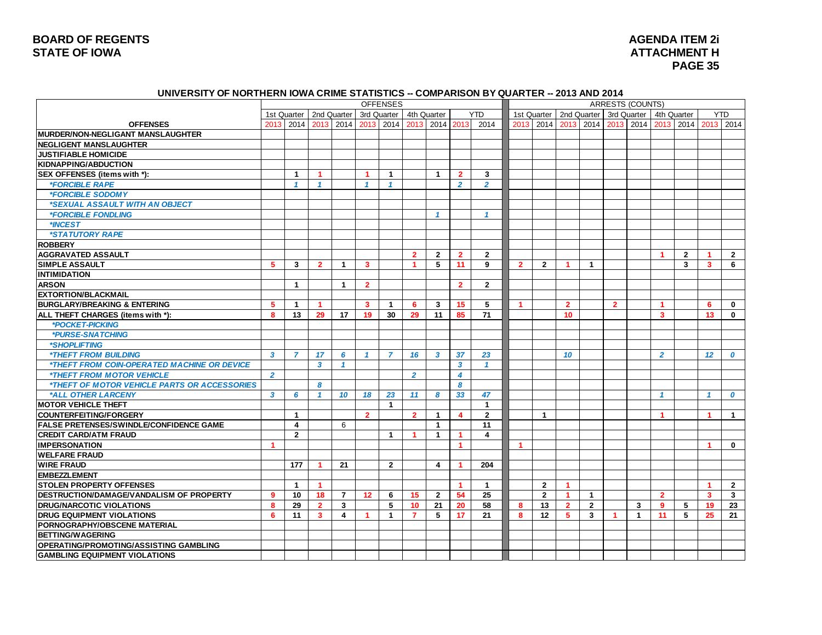# **BOARD OF REGENTS<br>STATE OF IOWA**

#### **2 i ATTACHMENT H PAGE 35**

#### **UNIVERSITY OF NORTHERN IOWA CRIME STATISTICS -- COMPARISON BY QUARTER -- 2013 AND 2014**

|                                                            | <b>OFFENSES</b>         |                         |                         |                |                         |                           |                      |                         |                         |                      |                      |                |                      |                | <b>ARRESTS (COUNTS)</b> |              |                         |                |                         |                  |
|------------------------------------------------------------|-------------------------|-------------------------|-------------------------|----------------|-------------------------|---------------------------|----------------------|-------------------------|-------------------------|----------------------|----------------------|----------------|----------------------|----------------|-------------------------|--------------|-------------------------|----------------|-------------------------|------------------|
|                                                            |                         | 1st Quarter             |                         | 2nd Quarter    |                         | 3rd Quarter   4th Quarter |                      |                         |                         | <b>YTD</b>           |                      | 1st Quarter    |                      | 2nd Quarter    |                         | 3rd Quarter  |                         | 4th Quarter    |                         | <b>YTD</b>       |
| <b>OFFENSES</b>                                            | 2013                    | 2014                    | 2013                    |                |                         | 2014 2013 2014            | 2013                 |                         | 2014 2013               | 2014                 | 2013                 | 2014           | 2013                 | 2014           | 2013                    | 2014         |                         | 2013 2014      |                         | 2013 2014        |
| IMURDER/NON-NEGLIGANT MANSLAUGHTER                         |                         |                         |                         |                |                         |                           |                      |                         |                         |                      |                      |                |                      |                |                         |              |                         |                |                         |                  |
| <b>NEGLIGENT MANSLAUGHTER</b>                              |                         |                         |                         |                |                         |                           |                      |                         |                         |                      |                      |                |                      |                |                         |              |                         |                |                         |                  |
| <b>JUSTIFIABLE HOMICIDE</b>                                |                         |                         |                         |                |                         |                           |                      |                         |                         |                      |                      |                |                      |                |                         |              |                         |                |                         |                  |
| KIDNAPPING/ABDUCTION                                       |                         |                         |                         |                |                         |                           |                      |                         |                         |                      |                      |                |                      |                |                         |              |                         |                |                         |                  |
| SEX OFFENSES (items with *):                               |                         | $\blacktriangleleft$    | $\blacktriangleleft$    |                | $\blacktriangleleft$    | $\overline{1}$            |                      | $\overline{1}$          | $\overline{2}$          | $\mathbf{3}$         |                      |                |                      |                |                         |              |                         |                |                         |                  |
| <i><b>*FORCIBLE RAPE</b></i>                               |                         | $\mathbf{1}$            | $\mathbf{1}$            |                | $\mathbf{1}$            | $\mathbf{1}$              |                      |                         | $\overline{2}$          | $\overline{2}$       |                      |                |                      |                |                         |              |                         |                |                         |                  |
| *FORCIBLE SODOMY                                           |                         |                         |                         |                |                         |                           |                      |                         |                         |                      |                      |                |                      |                |                         |              |                         |                |                         |                  |
| *SEXUAL ASSAULT WITH AN OBJECT                             |                         |                         |                         |                |                         |                           |                      |                         |                         |                      |                      |                |                      |                |                         |              |                         |                |                         |                  |
| <i><b>*FORCIBLE FONDLING</b></i>                           |                         |                         |                         |                |                         |                           |                      | $\mathbf{1}$            |                         | $\overline{1}$       |                      |                |                      |                |                         |              |                         |                |                         |                  |
| *INCEST                                                    |                         |                         |                         |                |                         |                           |                      |                         |                         |                      |                      |                |                      |                |                         |              |                         |                |                         |                  |
| *STATUTORY RAPE                                            |                         |                         |                         |                |                         |                           |                      |                         |                         |                      |                      |                |                      |                |                         |              |                         |                |                         |                  |
| <b>ROBBERY</b>                                             |                         |                         |                         |                |                         |                           |                      |                         |                         |                      |                      |                |                      |                |                         |              |                         |                |                         |                  |
| <b>AGGRAVATED ASSAULT</b>                                  |                         |                         |                         |                |                         |                           | $\overline{2}$       | $\overline{2}$          | $\overline{2}$          | $\overline{2}$       |                      |                |                      |                |                         |              | -1                      | $\overline{2}$ | -1                      | $\overline{2}$   |
| <b>SIMPLE ASSAULT</b>                                      | 5                       | 3                       | $\overline{2}$          | $\overline{1}$ | $\overline{\mathbf{3}}$ |                           | $\blacktriangleleft$ | 5                       | 11                      | 9                    | $\overline{2}$       | $\overline{2}$ | $\blacktriangleleft$ | $\overline{1}$ |                         |              |                         | $\mathbf{3}$   | $\overline{\mathbf{3}}$ | 6                |
| <b>INTIMIDATION</b>                                        |                         |                         |                         |                |                         |                           |                      |                         |                         |                      |                      |                |                      |                |                         |              |                         |                |                         |                  |
| <b>ARSON</b>                                               |                         | $\blacktriangleleft$    |                         | $\mathbf{1}$   | $\overline{2}$          |                           |                      |                         | $\overline{2}$          | $\overline{2}$       |                      |                |                      |                |                         |              |                         |                |                         |                  |
| <b>EXTORTION/BLACKMAIL</b>                                 |                         |                         |                         |                |                         |                           |                      |                         |                         |                      |                      |                |                      |                |                         |              |                         |                |                         |                  |
| <b>BURGLARY/BREAKING &amp; ENTERING</b>                    | 5                       | $\mathbf{1}$            | $\blacktriangleleft$    |                | $\mathbf{3}$            | $\overline{1}$            | 6                    | $\mathbf{3}$            | 15                      | 5                    | $\blacktriangleleft$ |                | $\overline{2}$       |                | $\overline{2}$          |              | 1                       |                | 6                       | $\mathbf 0$      |
| ALL THEFT CHARGES (items with *):                          | 8                       | 13                      | 29                      | 17             | 19                      | 30                        | 29                   | 11                      | 85                      | 71                   |                      |                | 10 <sup>1</sup>      |                |                         |              | $\overline{\mathbf{3}}$ |                | 13                      | $\bf{0}$         |
| *POCKET-PICKING                                            |                         |                         |                         |                |                         |                           |                      |                         |                         |                      |                      |                |                      |                |                         |              |                         |                |                         |                  |
| *PURSE-SNATCHING                                           |                         |                         |                         |                |                         |                           |                      |                         |                         |                      |                      |                |                      |                |                         |              |                         |                |                         |                  |
| <i><b>*SHOPLIFTING</b></i>                                 |                         |                         |                         |                |                         |                           |                      |                         |                         |                      |                      |                |                      |                |                         |              |                         |                |                         |                  |
| <b>*THEFT FROM BUILDING</b>                                | $\mathbf{3}$            | 7                       | 17                      | 6              | $\mathbf{1}$            | 7                         | 16                   | $\overline{\mathbf{3}}$ | 37                      | 23                   |                      |                | 10                   |                |                         |              | $\overline{2}$          |                | 12                      | $\boldsymbol{o}$ |
| *THEFT FROM COIN-OPERATED MACHINE OR DEVICE                |                         |                         | $\overline{\mathbf{3}}$ | $\mathcal I$   |                         |                           |                      |                         | $\overline{\mathbf{3}}$ | $\overline{1}$       |                      |                |                      |                |                         |              |                         |                |                         |                  |
| *THEFT FROM MOTOR VEHICLE                                  | $\overline{2}$          |                         |                         |                |                         |                           | $\overline{2}$       |                         | $\overline{4}$          |                      |                      |                |                      |                |                         |              |                         |                |                         |                  |
| <i><b>*THEFT OF MOTOR VEHICLE PARTS OR ACCESSORIES</b></i> |                         |                         | 8                       |                |                         |                           |                      |                         | 8                       |                      |                      |                |                      |                |                         |              |                         |                |                         |                  |
| *ALL OTHER LARCENY                                         | $\overline{\mathbf{3}}$ | 6                       | 1                       | 10             | 18                      | 23                        | 11                   | 8                       | 33                      | 47                   |                      |                |                      |                |                         |              | -1                      |                |                         | $\boldsymbol{o}$ |
| <b>MOTOR VEHICLE THEFT</b>                                 |                         |                         |                         |                |                         | $\overline{1}$            |                      |                         |                         | $\blacktriangleleft$ |                      |                |                      |                |                         |              |                         |                |                         |                  |
| COUNTERFEITING/FORGERY                                     |                         | $\mathbf{1}$            |                         |                | $\overline{2}$          |                           | $\overline{2}$       | $\mathbf{1}$            | $\overline{\mathbf{4}}$ | $\overline{2}$       |                      | $\mathbf{1}$   |                      |                |                         |              | -1.                     |                | -1                      | $\mathbf{1}$     |
| <b>FALSE PRETENSES/SWINDLE/CONFIDENCE GAME</b>             |                         | $\overline{\mathbf{4}}$ |                         | 6              |                         |                           |                      | $\overline{1}$          |                         | 11                   |                      |                |                      |                |                         |              |                         |                |                         |                  |
| <b>CREDIT CARD/ATM FRAUD</b>                               |                         | $\overline{2}$          |                         |                |                         | $\mathbf{1}$              | $\blacktriangleleft$ | $\mathbf{1}$            | -1                      | $\overline{4}$       |                      |                |                      |                |                         |              |                         |                |                         |                  |
| <b>IMPERSONATION</b>                                       | -1                      |                         |                         |                |                         |                           |                      |                         | -1                      |                      | $\blacktriangleleft$ |                |                      |                |                         |              |                         |                |                         | $\bf{0}$         |
| <b>WELFARE FRAUD</b>                                       |                         |                         |                         |                |                         |                           |                      |                         |                         |                      |                      |                |                      |                |                         |              |                         |                |                         |                  |
| <b>WIRE FRAUD</b>                                          |                         | 177                     |                         | 21             |                         | $\overline{2}$            |                      | 4                       | -1                      | 204                  |                      |                |                      |                |                         |              |                         |                |                         |                  |
| <b>EMBEZZLEMENT</b>                                        |                         |                         |                         |                |                         |                           |                      |                         |                         |                      |                      |                |                      |                |                         |              |                         |                |                         |                  |
| <b>STOLEN PROPERTY OFFENSES</b>                            |                         | $\overline{1}$          | $\mathbf{1}$            |                |                         |                           |                      |                         | -1                      | $\mathbf{1}$         |                      | $\overline{2}$ | $\blacktriangleleft$ |                |                         |              |                         |                | -1                      | $\overline{2}$   |
| <b>IDESTRUCTION/DAMAGE/VANDALISM OF PROPERTY</b>           | 9                       | 10                      | 18                      | $\overline{7}$ | 12                      | 6                         | 15                   | $\mathbf{2}$            | 54                      | 25                   |                      | $\overline{2}$ | $\blacktriangleleft$ | $\mathbf{1}$   |                         |              | $\overline{2}$          |                | 3                       | 3                |
| <b>DRUG/NARCOTIC VIOLATIONS</b>                            | 8                       | 29                      | $\overline{2}$          | $\mathbf{3}$   |                         | 5                         | 10                   | 21                      | 20                      | 58                   | 8                    | 13             | $\overline{2}$       | $\mathbf{2}$   |                         | 3            | 9                       | 5              | 19                      | 23               |
| <b>DRUG EQUIPMENT VIOLATIONS</b>                           | 6                       | 11                      | $\mathbf{3}$            | 4              | 1.                      | $\mathbf{1}$              | $\overline{7}$       | 5                       | 17                      | 21                   | 8                    | 12             | 5                    | $\mathbf{3}$   | -1                      | $\mathbf{1}$ | 11                      | 5              | 25                      | 21               |
| <b>PORNOGRAPHY/OBSCENE MATERIAL</b>                        |                         |                         |                         |                |                         |                           |                      |                         |                         |                      |                      |                |                      |                |                         |              |                         |                |                         |                  |
| <b>BETTING/WAGERING</b>                                    |                         |                         |                         |                |                         |                           |                      |                         |                         |                      |                      |                |                      |                |                         |              |                         |                |                         |                  |
| <b>OPERATING/PROMOTING/ASSISTING GAMBLING</b>              |                         |                         |                         |                |                         |                           |                      |                         |                         |                      |                      |                |                      |                |                         |              |                         |                |                         |                  |
| <b>GAMBLING EQUIPMENT VIOLATIONS</b>                       |                         |                         |                         |                |                         |                           |                      |                         |                         |                      |                      |                |                      |                |                         |              |                         |                |                         |                  |
|                                                            |                         |                         |                         |                |                         |                           |                      |                         |                         |                      |                      |                |                      |                |                         |              |                         |                |                         |                  |